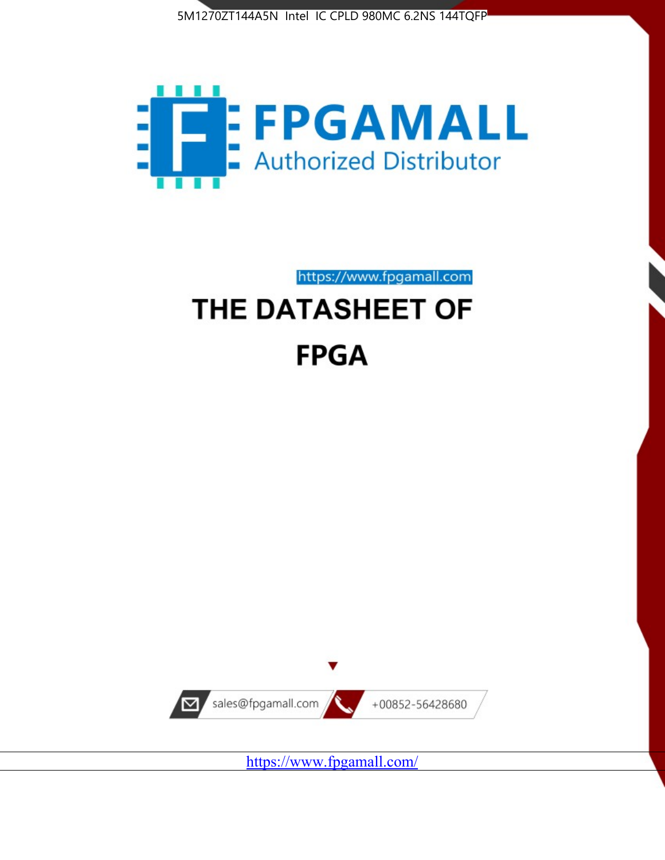



https://www.fpgamall.com

# THE DATASHEET OF **FPGA**



<https://www.fpgamall.com/>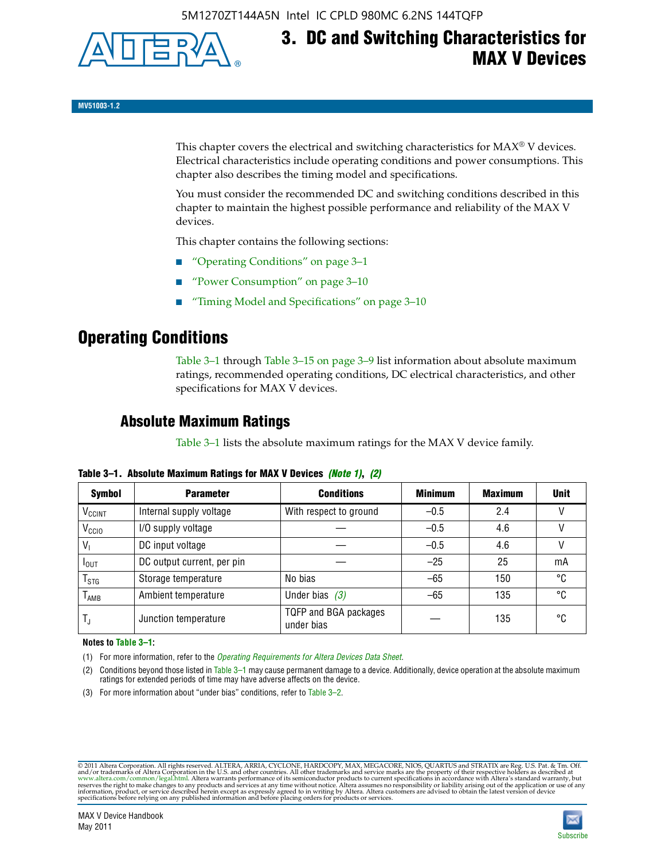

## **3. DC and Switching Characteristics for MAX V Devices**

**MV51003-1.2**

This chapter covers the electrical and switching characteristics for  $MAX^{\circ}$  V devices. Electrical characteristics include operating conditions and power consumptions. This chapter also describes the timing model and specifications.

You must consider the recommended DC and switching conditions described in this chapter to maintain the highest possible performance and reliability of the MAX V devices.

This chapter contains the following sections:

- "Operating Conditions" on page 3–1
- "Power Consumption" on page 3–10
- "Timing Model and Specifications" on page 3–10

### **Operating Conditions**

Table 3–1 through Table 3–15 on page 3–9 list information about absolute maximum ratings, recommended operating conditions, DC electrical characteristics, and other specifications for MAX V devices.

### **Absolute Maximum Ratings**

Table 3–1 lists the absolute maximum ratings for the MAX V device family.

| <b>Symbol</b>               | <b>Parameter</b>           | <b>Conditions</b>                   | <b>Minimum</b> | <b>Maximum</b> | <b>Unit</b> |
|-----------------------------|----------------------------|-------------------------------------|----------------|----------------|-------------|
| V <sub>CCINT</sub>          | Internal supply voltage    | With respect to ground              | $-0.5$         | 2.4            |             |
| V <sub>CCIO</sub>           | I/O supply voltage         |                                     | $-0.5$         | 4.6            |             |
| $V_1$                       | DC input voltage           |                                     | $-0.5$         | 4.6            |             |
| $I_{\text{OUT}}$            | DC output current, per pin |                                     | $-25$          | 25             | mA          |
| $\mathsf{T}_{\textsf{STG}}$ | Storage temperature        | No bias                             | $-65$          | 150            | °C          |
| $T_{AMB}$                   | Ambient temperature        | Under bias $(3)$                    | $-65$          | 135            | °C          |
| $T_{\text{J}}$              | Junction temperature       | TQFP and BGA packages<br>under bias |                | 135            | ۰c          |

**Table 3–1. Absolute Maximum Ratings for MAX V Devices** *(Note 1)***,** *(2)*

**Notes to Table 3–1:**

(1) For more information, refer to the *[Operating Requirements for Altera Devices Data Sheet](http://www.altera.com/literature/ds/dsoprq.pdf)*.

(2) Conditions beyond those listed in Table 3–1 may cause permanent damage to a device. Additionally, device operation at the absolute maximum ratings for extended periods of time may have adverse affects on the device.

(3) For more information about "under bias" conditions, refer to Table 3–2.

@2011 Altera Corporation. All rights reserved. ALTERA, ARRIA, CYCLONE, HARDCOPY, MAX, MEGACORE, NIOS, QUARTUS and STRATIX are Reg. U.S. Pat. & Tm. Off. [and/or trademarks of Altera Corporat](http://www.altera.com/common/legal.html)ion in the U.S. and other countrie

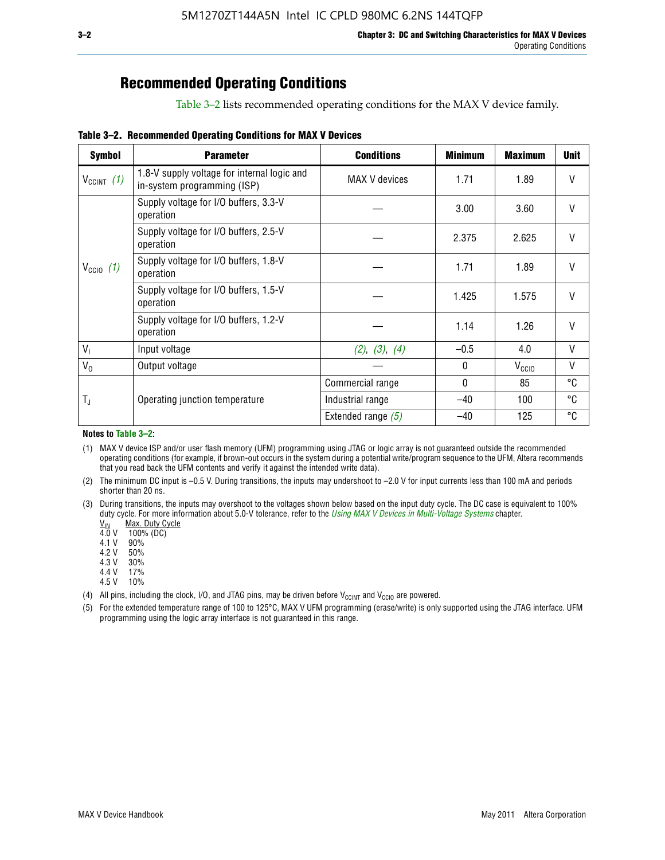### **Recommended Operating Conditions**

Table 3–2 lists recommended operating conditions for the MAX V device family.

**Table 3–2. Recommended Operating Conditions for MAX V Devices**

| <b>Symbol</b>        | <b>Parameter</b>                                                           | <b>Conditions</b>    | <b>Minimum</b> | <b>Maximum</b>    | <b>Unit</b>  |
|----------------------|----------------------------------------------------------------------------|----------------------|----------------|-------------------|--------------|
| $V_{CClNT}$ (1)      | 1.8-V supply voltage for internal logic and<br>in-system programming (ISP) | MAX V devices        | 1.71           | 1.89              | V            |
|                      | Supply voltage for I/O buffers, 3.3-V<br>operation                         |                      | 3.00           | 3.60              | $\mathsf{V}$ |
|                      | Supply voltage for I/O buffers, 2.5-V<br>operation                         |                      | 2.375          | 2.625             | $\mathsf{V}$ |
| $V_{\text{CCIO}}(1)$ | Supply voltage for I/O buffers, 1.8-V<br>operation                         |                      | 1.71           | 1.89              | $\mathsf{V}$ |
|                      | Supply voltage for I/O buffers, 1.5-V<br>operation                         |                      | 1.425          | 1.575             | V            |
|                      | Supply voltage for I/O buffers, 1.2-V<br>operation                         |                      | 1.14           | 1.26              | V            |
| $V_{1}$              | Input voltage                                                              | (2), (3), (4)        | $-0.5$         | 4.0               | V            |
| $V_0$                | Output voltage                                                             |                      | 0              | V <sub>CCIO</sub> | V            |
|                      |                                                                            | Commercial range     | 0              | 85                | °C           |
| T,                   | Operating junction temperature                                             | Industrial range     | $-40$          | 100               | °C           |
|                      |                                                                            | Extended range $(5)$ | $-40$          | 125               | °C           |

#### **Notes to Table 3–2:**

(1) MAX V device ISP and/or user flash memory (UFM) programming using JTAG or logic array is not guaranteed outside the recommended operating conditions (for example, if brown-out occurs in the system during a potential write/program sequence to the UFM, Altera recommends that you read back the UFM contents and verify it against the intended write data).

(2) The minimum DC input is –0.5 V. During transitions, the inputs may undershoot to –2.0 V for input currents less than 100 mA and periods shorter than 20 ns.

(3) During transitions, the inputs may overshoot to the voltages shown below based on the input duty cycle. The DC case is equivalent to 100% duty cycle. For more information about 5.0-V tolerance, refer to the *Using MAX V Devices in Multi-Voltage Systems* chapter.<br>
<u>V<sub>IN</sub> Max. Duty Cycle</u><br>
4.0 V 100% (DC)

Max. Duty Cycle

 $100\%$  (DC)<br>90%

 $4.1 V$ 

4.2 V 50%

4.3 V 30%<br>4.4 V 17%

4.4 V

4.5 V 10%

(4) All pins, including the clock, I/O, and JTAG pins, may be driven before  $V_{C C I N T}$  and  $V_{C C I O}$  are powered.

(5) For the extended temperature range of 100 to 125°C, MAX V UFM programming (erase/write) is only supported using the JTAG interface. UFM programming using the logic array interface is not guaranteed in this range.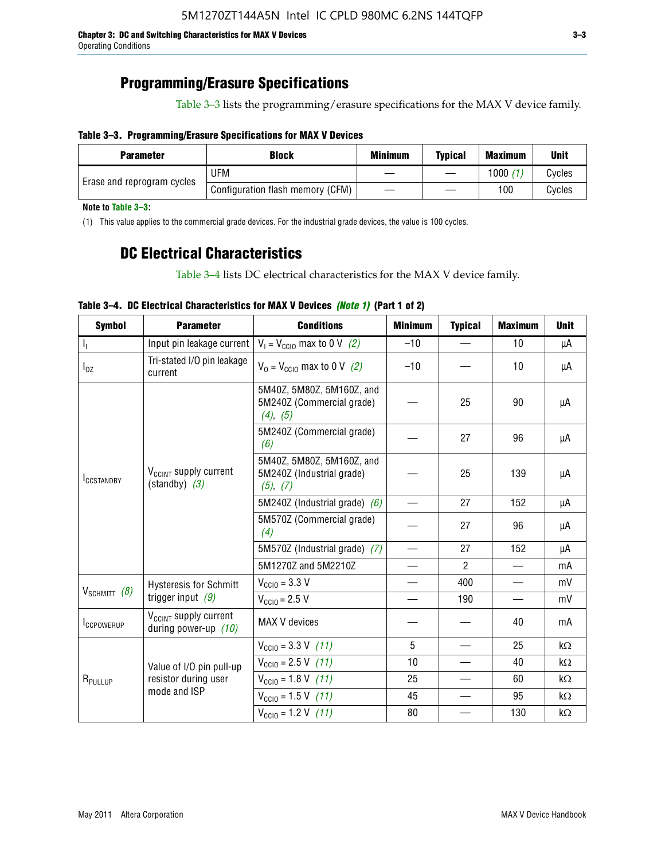### **Programming/Erasure Specifications**

Table 3–3 lists the programming/erasure specifications for the MAX V device family.

#### **Table 3–3. Programming/Erasure Specifications for MAX V Devices**

| <b>Block</b><br><b>Parameter</b> |                                  | <b>Minimum</b> | <b>Typical</b> | <b>Maximum</b> | <b>Unit</b> |
|----------------------------------|----------------------------------|----------------|----------------|----------------|-------------|
|                                  | UFM                              |                |                | 1000           | Cycles      |
| Erase and reprogram cycles       | Configuration flash memory (CFM) |                |                | 100            | Cvcles      |

**Note to Table 3–3:**

(1) This value applies to the commercial grade devices. For the industrial grade devices, the value is 100 cycles.

### **DC Electrical Characteristics**

Table 3–4 lists DC electrical characteristics for the MAX V device family.

| <b>Symbol</b>       | <b>Parameter</b>                                            | <b>Conditions</b>                                                  | <b>Minimum</b>           | <b>Typical</b> | <b>Maximum</b> | <b>Unit</b> |
|---------------------|-------------------------------------------------------------|--------------------------------------------------------------------|--------------------------|----------------|----------------|-------------|
| Т,                  | Input pin leakage current                                   | $V_1 = V_{\text{CC10}}$ max to 0 V (2)                             | $-10$                    |                | 10             | μA          |
| $I_{0Z}$            | Tri-stated I/O pin leakage<br>current                       | $V_0 = V_{\text{CC10}}$ max to 0 V (2)                             | $-10$                    |                | 10             | μA          |
|                     |                                                             | 5M40Z, 5M80Z, 5M160Z, and<br>5M240Z (Commercial grade)<br>(4), (5) |                          | 25             | 90             | μA          |
|                     |                                                             | 5M240Z (Commercial grade)<br>(6)                                   |                          | 27             | 96             | μA          |
| <b>ICCSTANDBY</b>   | V <sub>CCINT</sub> supply current<br>$(statably)$ (3)       | 5M40Z, 5M80Z, 5M160Z, and<br>5M240Z (Industrial grade)<br>(5), (7) |                          | 25             | 139            | μA          |
|                     |                                                             | 5M240Z (Industrial grade) $(6)$                                    |                          | 27             | 152            | μA          |
|                     |                                                             | 5M570Z (Commercial grade)<br>(4)                                   |                          | 27             | 96             | μA          |
|                     |                                                             | 5M570Z (Industrial grade) (7)                                      |                          | 27             | 152            | μA          |
|                     |                                                             | 5M1270Z and 5M2210Z                                                | $\overline{\phantom{0}}$ | $\mathcal{P}$  |                | mA          |
|                     | <b>Hysteresis for Schmitt</b>                               | $V_{\text{CC10}} = 3.3 \text{ V}$                                  | $\qquad \qquad$          | 400            |                | mV          |
| $V_{SCHMIT}$ (8)    | trigger input $(9)$                                         | $V_{\text{CC10}} = 2.5 V$                                          |                          | 190            |                | mV          |
| <b>ICCPOWERUP</b>   | V <sub>CCINT</sub> supply current<br>during power-up $(10)$ | MAX V devices                                                      |                          |                | 40             | mA          |
|                     |                                                             | $V_{\text{CC10}} = 3.3 \text{ V} (11)$                             | 5                        |                | 25             | kΩ          |
|                     | Value of I/O pin pull-up                                    | $V_{\text{CGI0}} = 2.5 \text{ V}$ (11)                             | 10                       |                | 40             | kΩ          |
| R <sub>PULLUP</sub> | resistor during user                                        | $V_{\text{CC10}} = 1.8 \text{ V} (11)$                             | 25                       |                | 60             | kΩ          |
|                     | mode and ISP                                                | $V_{\text{CC10}} = 1.5 \text{ V} (11)$                             | 45                       |                | 95             | kΩ          |
|                     |                                                             | $V_{\text{CC10}} = 1.2 \text{ V} (11)$                             | 80                       |                | 130            | kΩ          |

#### **Table 3–4. DC Electrical Characteristics for MAX V Devices** *(Note 1)* **(Part 1 of 2)**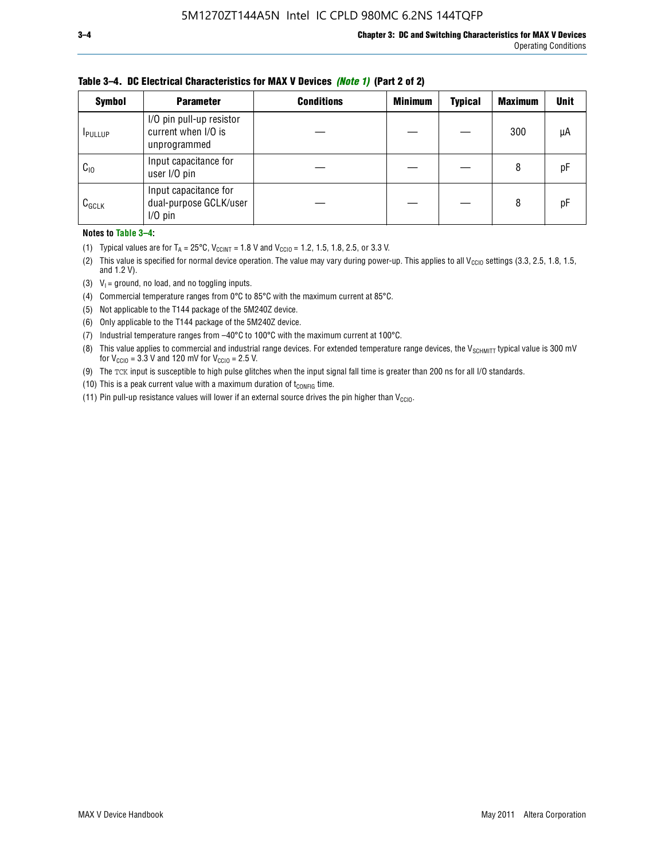| <b>Symbol</b>   | <b>Parameter</b>                                                | <b>Conditions</b> | <b>Minimum</b> | <b>Typical</b> | <b>Maximum</b> | <b>Unit</b> |
|-----------------|-----------------------------------------------------------------|-------------------|----------------|----------------|----------------|-------------|
| <b>I</b> PULLUP | I/O pin pull-up resistor<br>current when I/O is<br>unprogrammed |                   |                |                | 300            | μA          |
| $C_{10}$        | Input capacitance for<br>user I/O pin                           |                   |                |                | 8              | рF          |
| $C_{GCLK}$      | Input capacitance for<br>dual-purpose GCLK/user<br>$I/O$ pin    |                   |                |                | 8              | рF          |

**Table 3–4. DC Electrical Characteristics for MAX V Devices** *(Note 1)* **(Part 2 of 2)**

**Notes to Table 3–4:**

- (1) Typical values are for  $T_A = 25^{\circ}\text{C}$ ,  $V_{\text{CCINT}} = 1.8 \text{ V}$  and  $V_{\text{CCIO}} = 1.2, 1.5, 1.8, 2.5,$  or 3.3 V.
- (2) This value is specified for normal device operation. The value may vary during power-up. This applies to all V<sub>CCIO</sub> settings (3.3, 2.5, 1.8, 1.5, and 1.2 V).
- (3)  $V_1$  = ground, no load, and no toggling inputs.
- (4) Commercial temperature ranges from 0°C to 85°C with the maximum current at 85°C.
- (5) Not applicable to the T144 package of the 5M240Z device.
- (6) Only applicable to the T144 package of the 5M240Z device.
- (7) Industrial temperature ranges from –40°C to 100°C with the maximum current at 100°C.
- (8) This value applies to commercial and industrial range devices. For extended temperature range devices, the  $V_{SCHMIT}$  typical value is 300 mV for  $V_{\text{CCIO}} = 3.3$  V and 120 mV for  $V_{\text{CCIO}} = 2.5$  V.
- (9) The TCK input is susceptible to high pulse glitches when the input signal fall time is greater than 200 ns for all I/O standards.
- (10) This is a peak current value with a maximum duration of  $t_{\text{CONFIG}}$  time.
- (11) Pin pull-up resistance values will lower if an external source drives the pin higher than  $V_{\text{CCIO}}$ .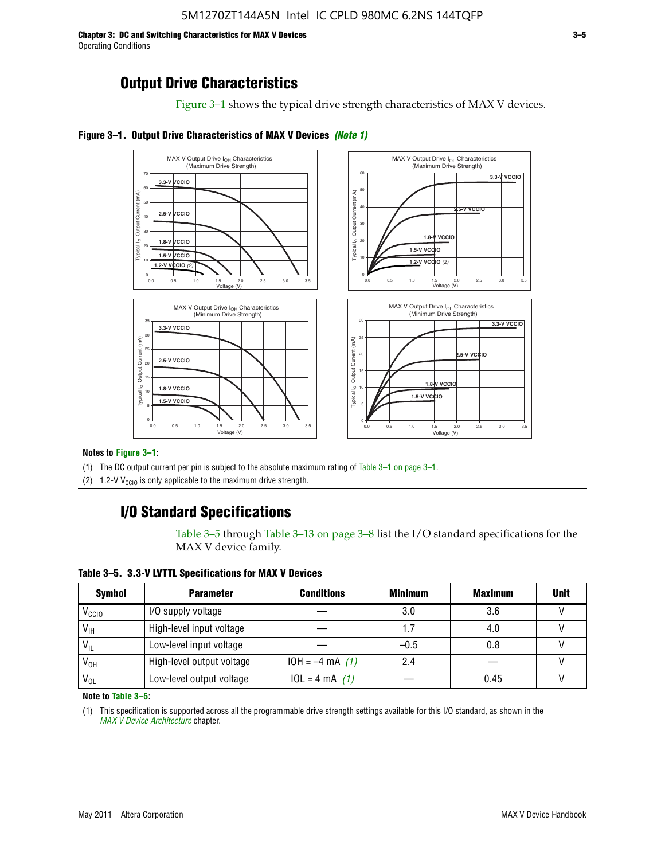**Chapter 3: DC and Switching Characteristics for MAX V Devices 3–5** Operating Conditions

### **Output Drive Characteristics**

Figure 3–1 shows the typical drive strength characteristics of MAX V devices.





#### **Notes to Figure 3–1:**

(1) The DC output current per pin is subject to the absolute maximum rating of Table 3–1 on page 3–1.

(2) 1.2-V V<sub>CCIO</sub> is only applicable to the maximum drive strength.

### **I/O Standard Specifications**

Table 3–5 through Table 3–13 on page 3–8 list the I/O standard specifications for the MAX V device family.

**Table 3–5. 3.3-V LVTTL Specifications for MAX V Devices**

| <b>Symbol</b>     | <b>Parameter</b>          | <b>Conditions</b> | <b>Minimum</b> | <b>Maximum</b> | <b>Unit</b> |
|-------------------|---------------------------|-------------------|----------------|----------------|-------------|
| V <sub>ccio</sub> | I/O supply voltage        |                   | 3.0            | 3.6            |             |
| $V_{\text{IH}}$   | High-level input voltage  |                   | 1.7            | 4.0            |             |
| $V_{IL}$          | Low-level input voltage   |                   | $-0.5$         | 0.8            |             |
| V <sub>он</sub>   | High-level output voltage | $10H = -4 mA$ (1) | 2.4            |                |             |
| $V_{OL}$          | Low-level output voltage  | $10L = 4 mA$ (1)  |                | 0.45           |             |

**Note to Table 3–5:**

(1) This specification is supported across all the programmable drive strength settings available for this I/O standard, as shown in the *[MAX V Device Architecture](http://www.altera.com/literature/hb/max-v/mv51002.pdf)* chapter.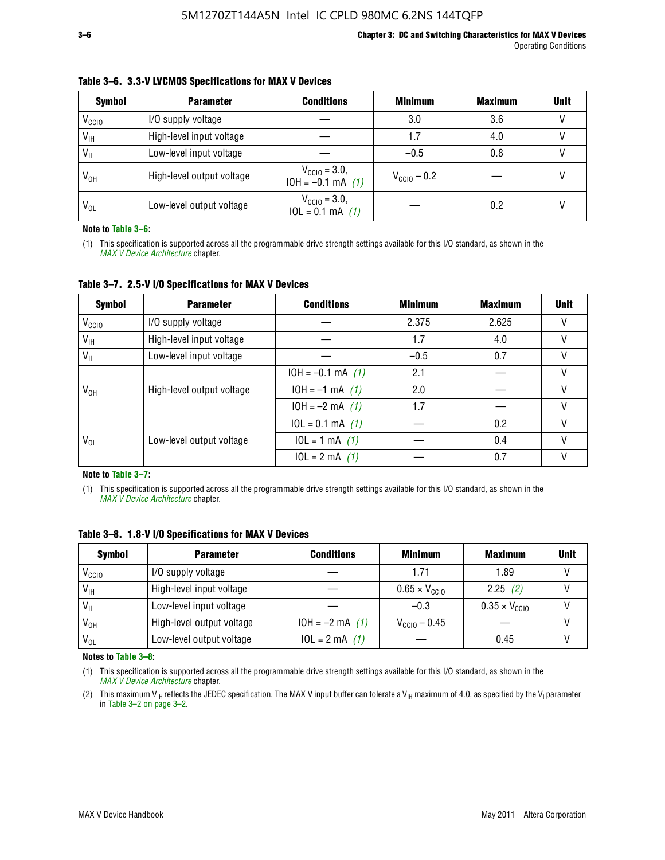| <b>Symbol</b>     | <b>Parameter</b>          | <b>Conditions</b>                                  | <b>Minimum</b>          | <b>Maximum</b> | <b>Unit</b> |
|-------------------|---------------------------|----------------------------------------------------|-------------------------|----------------|-------------|
| V <sub>ccio</sub> | I/O supply voltage        |                                                    | 3.0                     | 3.6            |             |
| $V_{IH}$          | High-level input voltage  |                                                    | 1.7                     | 4.0            |             |
| $V_{IL}$          | Low-level input voltage   |                                                    | $-0.5$                  | 0.8            |             |
| $V_{OH}$          | High-level output voltage | $V_{\text{CGI0}} = 3.0$ ,<br>$10H = -0.1$ mA $(1)$ | $V_{\text{CC10}} - 0.2$ |                |             |
| $V_{OL}$          | Low-level output voltage  | $V_{\text{CC10}} = 3.0,$<br>$10L = 0.1$ mA $(1)$   |                         | 0.2            |             |

#### **Table 3–6. 3.3-V LVCMOS Specifications for MAX V Devices**

**Note to Table 3–6:**

(1) This specification is supported across all the programmable drive strength settings available for this I/O standard, as shown in the *[MAX V Device Architecture](http://www.altera.com/literature/hb/max-v/mv51002.pdf)* chapter.

**Table 3–7. 2.5-V I/O Specifications for MAX V Devices**

| <b>Symbol</b>     | <b>Parameter</b>          | <b>Conditions</b>     | <b>Minimum</b> | <b>Maximum</b> | <b>Unit</b> |
|-------------------|---------------------------|-----------------------|----------------|----------------|-------------|
| V <sub>CCIO</sub> | I/O supply voltage        |                       | 2.375          | 2.625          |             |
| $V_{\text{IH}}$   | High-level input voltage  |                       | 1.7            | 4.0            | V           |
| $V_{IL}$          | Low-level input voltage   |                       | $-0.5$         | 0.7            |             |
|                   | High-level output voltage | $10H = -0.1$ mA $(1)$ | 2.1            |                |             |
| V <sub>он</sub>   |                           | $10H = -1$ mA $(1)$   | 2.0            |                |             |
|                   |                           | $10H = -2 mA$ (1)     | 1.7            |                | V           |
|                   | Low-level output voltage  | $10L = 0.1$ mA $(1)$  |                | 0.2            |             |
| V <sub>OL</sub>   |                           | $10L = 1 mA$ (1)      |                | 0.4            |             |
|                   |                           | $10L = 2 mA$ (1)      |                | 0.7            |             |

**Note to Table 3–7:**

(1) This specification is supported across all the programmable drive strength settings available for this I/O standard, as shown in the *[MAX V Device Architecture](http://www.altera.com/literature/hb/max-v/mv51002.pdf)* chapter.

| <b>Symbol</b>     | <b>Parameter</b>          | <b>Conditions</b> | <b>Minimum</b>                | <b>Maximum</b>                | <b>Unit</b> |
|-------------------|---------------------------|-------------------|-------------------------------|-------------------------------|-------------|
| V <sub>ccio</sub> | I/O supply voltage        |                   | 1.71                          | 1.89                          |             |
| $V_{\text{IH}}$   | High-level input voltage  |                   | $0.65 \times V_{\text{CGI0}}$ | 2.25(2)                       |             |
| $V_{IL}$          | Low-level input voltage   |                   | $-0.3$                        | $0.35 \times V_{\text{CC10}}$ |             |
| V <sub>он</sub>   | High-level output voltage | $10H = -2 mA$ (1) | $V_{\text{CCI}0} - 0.45$      |                               |             |
| $V_{OL}$          | Low-level output voltage  | $10L = 2 mA$ (1)  |                               | 0.45                          |             |

**Table 3–8. 1.8-V I/O Specifications for MAX V Devices**

**Notes to Table 3–8:**

(1) This specification is supported across all the programmable drive strength settings available for this I/O standard, as shown in the *[MAX V Device Architecture](http://www.altera.com/literature/hb/max-v/mv51002.pdf)* chapter.

(2) This maximum V<sub>IH</sub> reflects the JEDEC specification. The MAX V input buffer can tolerate a V<sub>IH</sub> maximum of 4.0, as specified by the V<sub>I</sub> parameter in Table 3–2 on page 3–2.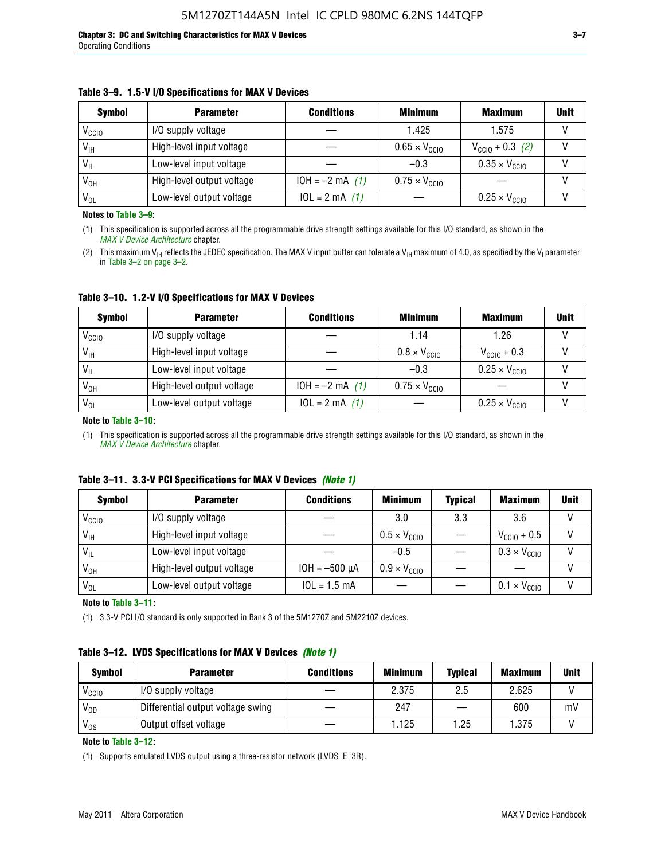#### **Table 3–9. 1.5-V I/O Specifications for MAX V Devices**

| <b>Symbol</b>     | <b>Parameter</b>          | <b>Conditions</b> | <b>Minimum</b>                | <b>Maximum</b>                | <b>Unit</b> |
|-------------------|---------------------------|-------------------|-------------------------------|-------------------------------|-------------|
| V <sub>CCIO</sub> | I/O supply voltage        |                   | 1.425                         | 1.575                         |             |
| $V_{IH}$          | High-level input voltage  |                   | $0.65 \times V_{\text{CC10}}$ | $V_{CGI0} + 0.3$ (2)          |             |
| $V_{IL}$          | Low-level input voltage   |                   | $-0.3$                        | $0.35 \times V_{\text{CC10}}$ |             |
| V <sub>OH</sub>   | High-level output voltage | $10H = -2 mA$ (1) | $0.75 \times V_{\text{CGI}0}$ |                               |             |
| $V_{OL}$          | Low-level output voltage  | $10L = 2 mA$ (1)  |                               | $0.25 \times V_{\text{CGI0}}$ |             |

**Notes to Table 3–9:**

(1) This specification is supported across all the programmable drive strength settings available for this I/O standard, as shown in the *[MAX V Device Architecture](http://www.altera.com/literature/hb/max-v/mv51002.pdf)* chapter.

(2) This maximum V<sub>IH</sub> reflects the JEDEC specification. The MAX V input buffer can tolerate a V<sub>IH</sub> maximum of 4.0, as specified by the V<sub>I</sub> parameter in Table 3–2 on page 3–2.

**Table 3–10. 1.2-V I/O Specifications for MAX V Devices**

| <b>Symbol</b>     | <b>Parameter</b>          | <b>Conditions</b> | <b>Minimum</b>               | <b>Maximum</b>                | <b>Unit</b> |
|-------------------|---------------------------|-------------------|------------------------------|-------------------------------|-------------|
| V <sub>CCIO</sub> | I/O supply voltage        |                   | 1.14                         | 1.26                          |             |
| $V_{IH}$          | High-level input voltage  |                   | $0.8 \times V_{\text{CCIO}}$ | $V_{\text{CC10}} + 0.3$       |             |
| $V_{IL}$          | Low-level input voltage   |                   | $-0.3$                       | $0.25 \times V_{\text{CCIO}}$ |             |
| V <sub>OH</sub>   | High-level output voltage | $10H = -2 mA$ (1) | $0.75 \times V_{\text{CCI}}$ |                               |             |
| $V_{OL}$          | Low-level output voltage  | $10L = 2 mA$ (1)  |                              | $0.25 \times V_{\text{CGI0}}$ |             |

#### **Note to Table 3–10:**

(1) This specification is supported across all the programmable drive strength settings available for this I/O standard, as shown in the *[MAX V Device Architecture](http://www.altera.com/literature/hb/max-v/mv51002.pdf)* chapter.

|  |  | Table 3–11. 3.3-V PCI Specifications for MAX V Devices (Note 1) |  |  |  |
|--|--|-----------------------------------------------------------------|--|--|--|
|--|--|-----------------------------------------------------------------|--|--|--|

| <b>Symbol</b>     | <b>Parameter</b>          | <b>Conditions</b>  | <b>Minimum</b>               | <b>Typical</b> | <b>Maximum</b>               | <b>Unit</b> |
|-------------------|---------------------------|--------------------|------------------------------|----------------|------------------------------|-------------|
| V <sub>CCIO</sub> | I/O supply voltage        |                    | 3.0                          | 3.3            | 3.6                          |             |
| $V_{IH}$          | High-level input voltage  |                    | $0.5 \times V_{\text{CCIO}}$ |                | $V_{\text{CC10}} + 0.5$      |             |
| $V_{IL}$          | Low-level input voltage   |                    | $-0.5$                       |                | $0.3 \times V_{\text{CC10}}$ |             |
| $V_{OH}$          | High-level output voltage | $10H = -500 \mu A$ | $0.9 \times V_{\text{CC10}}$ |                |                              |             |
| $V_{OL}$          | Low-level output voltage  | $10L = 1.5$ mA     |                              |                | $0.1 \times V_{\text{CC10}}$ |             |

**Note to Table 3–11:**

(1) 3.3-V PCI I/O standard is only supported in Bank 3 of the 5M1270Z and 5M2210Z devices.

#### **Table 3–12. LVDS Specifications for MAX V Devices** *(Note 1)*

| <b>Symbol</b> | <b>Parameter</b>                  | <b>Conditions</b> | <b>Minimum</b> | <b>Typical</b> | <b>Maximum</b> | Unit |
|---------------|-----------------------------------|-------------------|----------------|----------------|----------------|------|
| Vccio         | I/O supply voltage                |                   | 2.375          | 2.5            | 2.625          |      |
| $V_{OD}$      | Differential output voltage swing |                   | 247            |                | 600            | mV   |
| $V_{OS}$      | Output offset voltage             |                   | 1.125          | 1.25           | 1.375          |      |

**Note to Table 3–12:**

(1) Supports emulated LVDS output using a three-resistor network (LVDS\_E\_3R).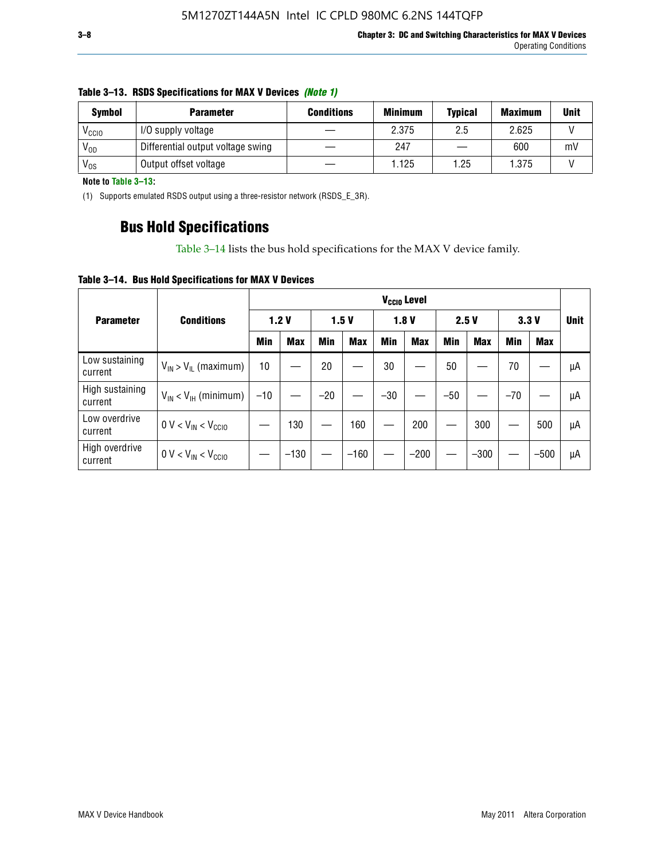| <b>Symbol</b>     | <b>Parameter</b>                  | <b>Conditions</b> | <b>Minimum</b> | <b>Typical</b> | <b>Maximum</b> | <b>Unit</b> |
|-------------------|-----------------------------------|-------------------|----------------|----------------|----------------|-------------|
| V <sub>CCIO</sub> | I/O supply voltage                |                   | 2.375          | 2.5            | 2.625          |             |
| $V_{OD}$          | Differential output voltage swing |                   | 247            |                | 600            | mV          |
| $V_{OS}$          | Output offset voltage             |                   | 1.125          | 1.25           | 1.375          |             |

#### **Table 3–13. RSDS Specifications for MAX V Devices** *(Note 1)*

**Note to Table 3–13:**

(1) Supports emulated RSDS output using a three-resistor network (RSDS\_E\_3R).

### **Bus Hold Specifications**

Table 3–14 lists the bus hold specifications for the MAX V device family.

**Table 3–14. Bus Hold Specifications for MAX V Devices**

|                            |                               | V <sub>ccio</sub> Level |            |       |            |            |            |       |            |       |            |             |
|----------------------------|-------------------------------|-------------------------|------------|-------|------------|------------|------------|-------|------------|-------|------------|-------------|
| <b>Parameter</b>           | <b>Conditions</b>             | 1.2V                    |            | 1.5V  |            | 1.8V       |            | 2.5V  |            | 3.3V  |            | <b>Unit</b> |
|                            |                               | Min                     | <b>Max</b> | Min   | <b>Max</b> | <b>Min</b> | <b>Max</b> | Min   | <b>Max</b> | Min   | <b>Max</b> |             |
| Low sustaining<br>current  | $V_{IN}$ > $V_{IL}$ (maximum) | 10                      |            | 20    |            | 30         |            | 50    |            | 70    |            | μA          |
| High sustaining<br>current | $V_{IN}$ < $V_{IH}$ (minimum) | $-10$                   |            | $-20$ |            | $-30$      |            | $-50$ |            | $-70$ |            | μA          |
| Low overdrive<br>current   | $0 V < V_{IN} < V_{CC10}$     |                         | 130        |       | 160        |            | 200        |       | 300        |       | 500        | μA          |
| High overdrive<br>current  | $0 V < V_{IN} < V_{CC10}$     |                         | $-130$     |       | $-160$     |            | $-200$     |       | $-300$     |       | $-500$     | μA          |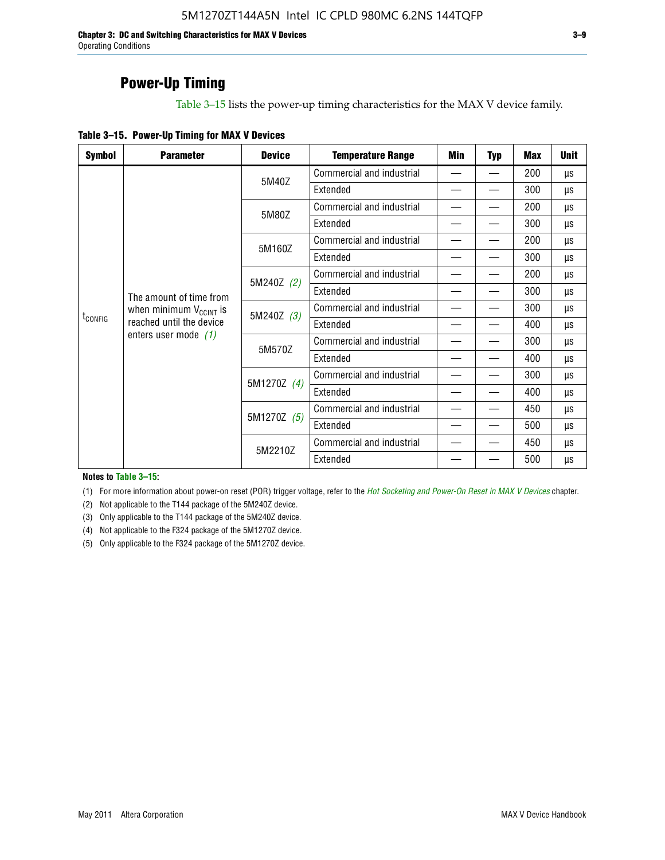**Chapter 3: DC and Switching Characteristics for MAX V Devices 3–9** Operating Conditions

### **Power-Up Timing**

Table 3–15 lists the power-up timing characteristics for the MAX V device family.

| Table 3-15. Power-Up Timing for MAX V Devices |  |
|-----------------------------------------------|--|
|-----------------------------------------------|--|

| <b>Symbol</b>       | <b>Parameter</b>             | <b>Device</b> | <b>Temperature Range</b>  | Min | <b>Typ</b> | <b>Max</b> | <b>Unit</b> |
|---------------------|------------------------------|---------------|---------------------------|-----|------------|------------|-------------|
|                     |                              | 5M40Z         | Commercial and industrial | —   |            | 200        | μs          |
|                     |                              |               | Extended                  |     |            | 300        | μs          |
|                     |                              | 5M80Z         | Commercial and industrial |     |            | 200        | μs          |
|                     |                              |               | Extended                  |     |            | 300        | μs          |
|                     |                              | 5M160Z        | Commercial and industrial |     |            | 200        | μs          |
|                     |                              |               | Extended                  |     |            | 300        | μs          |
|                     |                              | 5M240Z (2)    | Commercial and industrial |     |            | 200        | μs          |
|                     | The amount of time from      |               | Extended                  |     |            | 300        | μs          |
|                     | when minimum $V_{C CINT}$ is | 5M240Z (3)    | Commercial and industrial |     |            | 300        | μs          |
| t <sub>config</sub> | reached until the device     |               | Extended                  |     |            | 400        | μs          |
|                     | enters user mode $(1)$       | 5M570Z        | Commercial and industrial |     |            | 300        | μs          |
|                     |                              |               | Extended                  |     |            | 400        | μs          |
|                     |                              | 5M1270Z (4)   | Commercial and industrial |     |            | 300        | μs          |
|                     |                              |               | Extended                  |     |            | 400        | μs          |
|                     |                              | 5M1270Z (5)   | Commercial and industrial |     |            | 450        | μs          |
|                     |                              |               | Extended                  |     |            | 500        | μs          |
|                     |                              | 5M2210Z       | Commercial and industrial |     |            | 450        | μs          |
|                     |                              |               | Extended                  |     |            | 500        | μs          |

**Notes to Table 3–15:**

(1) For more information about power-on reset (POR) trigger voltage, refer to the *[Hot Socketing and Power-On Reset in MAX V Devices](http://www.altera.com/literature/hb/max-v/mv51004.pdf)* chapter.

(2) Not applicable to the T144 package of the 5M240Z device.

(3) Only applicable to the T144 package of the 5M240Z device.

(4) Not applicable to the F324 package of the 5M1270Z device.

(5) Only applicable to the F324 package of the 5M1270Z device.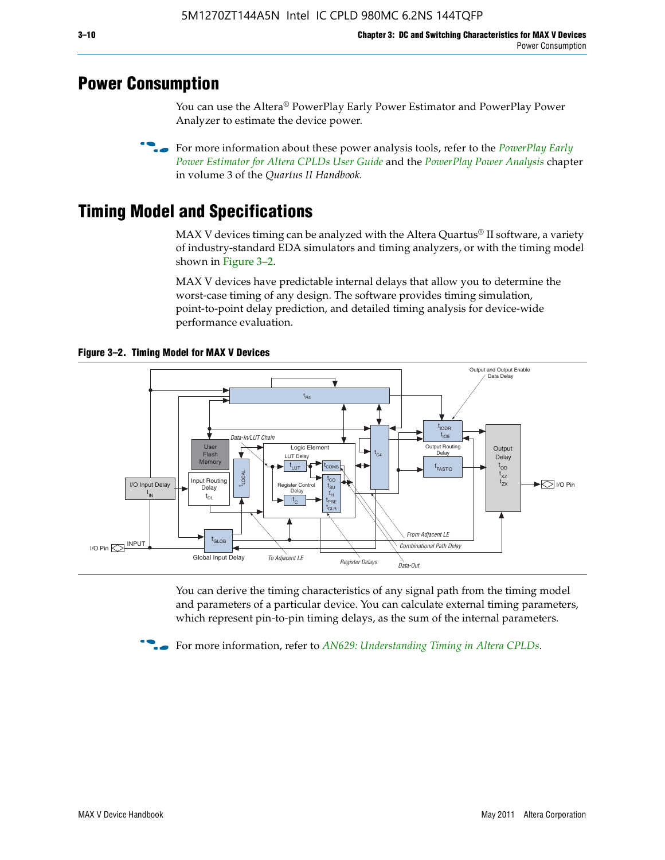### **Power Consumption**

You can use the Altera® PowerPlay Early Power Estimator and PowerPlay Power Analyzer to estimate the device power.

**For more information about these power analysis tools, refer to the** *PowerPlay Early**[Power Estimator for Altera CPLDs User Guide](http://www.altera.com/literature/ug/ug_epe_cpld.pdf)* and the *[PowerPlay Power Analysis](http://www.altera.com/literature/hb/qts/qts_qii53013.pdf)* chapter in volume 3 of the *Quartus II Handbook.*

### **Timing Model and Specifications**

MAX V devices timing can be analyzed with the Altera Quartus<sup>®</sup> II software, a variety of industry-standard EDA simulators and timing analyzers, or with the timing model shown in Figure 3–2.

MAX V devices have predictable internal delays that allow you to determine the worst-case timing of any design. The software provides timing simulation, point-to-point delay prediction, and detailed timing analysis for device-wide performance evaluation.



**Figure 3–2. Timing Model for MAX V Devices**

You can derive the timing characteristics of any signal path from the timing model and parameters of a particular device. You can calculate external timing parameters, which represent pin-to-pin timing delays, as the sum of the internal parameters.

**For more information, refer to** *[AN629: Understanding Timing in Altera CPLDs](http://www.altera.com/literature/an/an629.pdf)***.**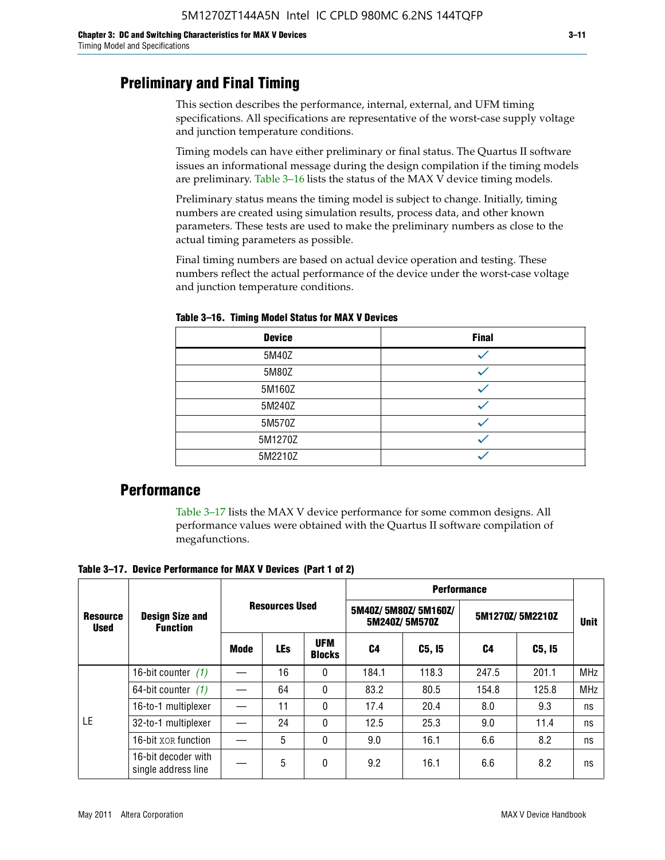### **Preliminary and Final Timing**

This section describes the performance, internal, external, and UFM timing specifications. All specifications are representative of the worst-case supply voltage and junction temperature conditions.

Timing models can have either preliminary or final status. The Quartus II software issues an informational message during the design compilation if the timing models are preliminary. Table 3–16 lists the status of the MAX V device timing models.

Preliminary status means the timing model is subject to change. Initially, timing numbers are created using simulation results, process data, and other known parameters. These tests are used to make the preliminary numbers as close to the actual timing parameters as possible.

Final timing numbers are based on actual device operation and testing. These numbers reflect the actual performance of the device under the worst-case voltage and junction temperature conditions.

| <b>Device</b> | <b>Final</b> |
|---------------|--------------|
| 5M40Z         |              |
| 5M80Z         |              |
| 5M160Z        |              |
| 5M240Z        |              |
| 5M570Z        |              |
| 5M1270Z       |              |
| 5M2210Z       |              |

**Table 3–16. Timing Model Status for MAX V Devices**

### **Performance**

Table 3–17 lists the MAX V device performance for some common designs. All performance values were obtained with the Quartus II software compilation of megafunctions.

**Table 3–17. Device Performance for MAX V Devices (Part 1 of 2)**

|                                |                                            |                       |            |                             | <b>Performance</b> |                                      |                 |             |            |  |  |
|--------------------------------|--------------------------------------------|-----------------------|------------|-----------------------------|--------------------|--------------------------------------|-----------------|-------------|------------|--|--|
| <b>Resource</b><br><b>Used</b> | <b>Design Size and</b><br><b>Function</b>  | <b>Resources Used</b> |            |                             |                    | 5M40Z/5M80Z/5M160Z/<br>5M240Z/5M570Z | 5M1270Z/5M2210Z | <b>Unit</b> |            |  |  |
|                                |                                            | Mode                  | <b>LEs</b> | <b>UFM</b><br><b>Blocks</b> | C4                 | C5, I5                               | C4              | C5, I5      |            |  |  |
|                                | 16-bit counter $(1)$                       |                       | 16         | 0                           | 184.1              | 118.3                                | 247.5           | 201.1       | <b>MHz</b> |  |  |
|                                | 64-bit counter $(1)$                       |                       | 64         | 0                           | 83.2               | 80.5                                 | 154.8           | 125.8       | <b>MHz</b> |  |  |
|                                | 16-to-1 multiplexer                        |                       | 11         | 0                           | 17.4               | 20.4                                 | 8.0             | 9.3         | ns         |  |  |
| LE                             | 32-to-1 multiplexer                        |                       | 24         | 0                           | 12.5               | 25.3                                 | 9.0             | 11.4        | ns         |  |  |
|                                | 16-bit XOR function                        |                       | 5          | 0                           | 9.0                | 16.1                                 | 6.6             | 8.2         | ns         |  |  |
|                                | 16-bit decoder with<br>single address line |                       | 5          | 0                           | 9.2                | 16.1                                 | 6.6             | 8.2         | ns         |  |  |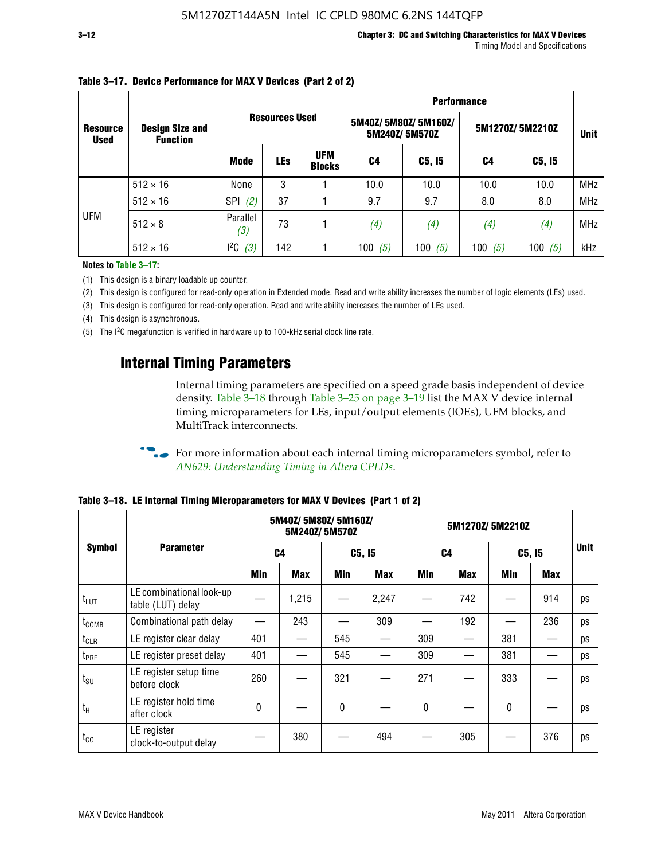|                                |                                           |                 |                       |                             | <b>Performance</b> |                                      |                 |             |            |  |  |
|--------------------------------|-------------------------------------------|-----------------|-----------------------|-----------------------------|--------------------|--------------------------------------|-----------------|-------------|------------|--|--|
| <b>Resource</b><br><b>Used</b> | <b>Design Size and</b><br><b>Function</b> |                 | <b>Resources Used</b> |                             |                    | 5M40Z/5M80Z/5M160Z/<br>5M240Z/5M570Z | 5M1270Z/5M2210Z | <b>Unit</b> |            |  |  |
|                                |                                           | <b>Mode</b>     | <b>LEs</b>            | <b>UFM</b><br><b>Blocks</b> | C <sub>4</sub>     | C5, I5                               | C4              | C5, I5      |            |  |  |
|                                | $512 \times 16$                           | None            | 3                     |                             | 10.0               | 10.0                                 | 10.0            | 10.0        | <b>MHz</b> |  |  |
|                                | $512 \times 16$                           | SPI<br>(2)      | 37                    |                             | 9.7                | 9.7                                  | 8.0             | 8.0         | <b>MHz</b> |  |  |
| UFM                            | $512 \times 8$                            | Parallel<br>(3) | 73                    |                             | (4)                | (4)                                  | (4)             | (4)         | MHz        |  |  |
|                                | $512 \times 16$                           | $l^2C$<br>(3)   | 142                   |                             | (5)<br>100         | 100 $(5)$                            | 100 $(5)$       | 100 $(5)$   | kHz        |  |  |

### **Table 3–17. Device Performance for MAX V Devices (Part 2 of 2)**

**Notes to Table 3–17:**

(1) This design is a binary loadable up counter.

(2) This design is configured for read-only operation in Extended mode. Read and write ability increases the number of logic elements (LEs) used.

(3) This design is configured for read-only operation. Read and write ability increases the number of LEs used.

(4) This design is asynchronous.

(5) The I2C megafunction is verified in hardware up to 100-kHz serial clock line rate.

### **Internal Timing Parameters**

Internal timing parameters are specified on a speed grade basis independent of device density. Table 3–18 through Table 3–25 on page 3–19 list the MAX V device internal timing microparameters for LEs, input/output elements (IOEs), UFM blocks, and MultiTrack interconnects.

For more information about each internal timing microparameters symbol, refer to *[AN629: Understanding Timing in Altera CPLDs](http://www.altera.com/literature/an/an629.pdf)*.

|                   |                                               |            | 5M40Z/ 5M80Z/ 5M160Z/ | 5M240Z/5M570Z |            | 5M1270Z/5M2210Z |            |              |     |             |
|-------------------|-----------------------------------------------|------------|-----------------------|---------------|------------|-----------------|------------|--------------|-----|-------------|
| <b>Symbol</b>     | <b>Parameter</b>                              |            | C4                    | C5, I5        |            | C4              |            | C5, I5       |     | <b>Unit</b> |
|                   |                                               | <b>Min</b> | Max                   | Min           | <b>Max</b> | Min             | <b>Max</b> | Min          | Max |             |
| $t_{LUT}$         | LE combinational look-up<br>table (LUT) delay |            | 1,215                 |               | 2,247      |                 | 742        |              | 914 | ps          |
| t <sub>COMB</sub> | Combinational path delay                      |            | 243                   |               | 309        |                 | 192        |              | 236 | ps          |
| $t_{CLR}$         | LE register clear delay                       | 401        |                       | 545           |            | 309             |            | 381          |     | ps          |
| t <sub>PRE</sub>  | LE register preset delay                      | 401        |                       | 545           |            | 309             |            | 381          |     | ps          |
| $t_{\text{SU}}$   | LE register setup time<br>before clock        | 260        |                       | 321           |            | 271             |            | 333          |     | ps          |
| $t_{H}$           | LE register hold time<br>after clock          | 0          |                       | $\mathbf{0}$  |            | 0               |            | $\mathbf{0}$ |     | ps          |
| $t_{\rm CO}$      | LE register<br>clock-to-output delay          |            | 380                   |               | 494        |                 | 305        |              | 376 | ps          |

**Table 3–18. LE Internal Timing Microparameters for MAX V Devices (Part 1 of 2)**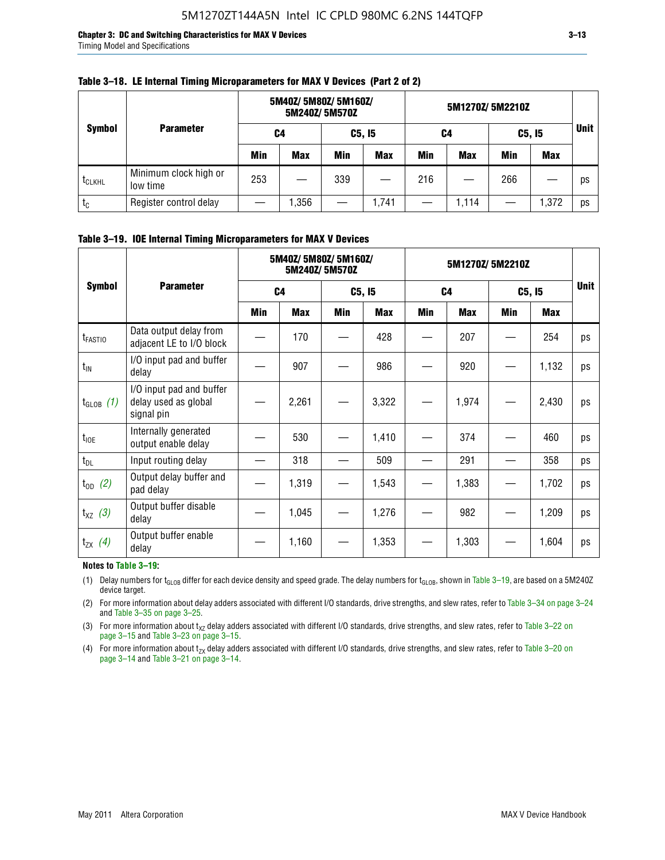| <b>Symbol</b>      |                                   |     | 5M40Z/ 5M80Z/ 5M160Z/<br>5M240Z/5M570Z |            |               | 5M1270Z/5M2210Z |            |     |            |             |
|--------------------|-----------------------------------|-----|----------------------------------------|------------|---------------|-----------------|------------|-----|------------|-------------|
|                    | <b>Parameter</b>                  | C4  |                                        |            | <b>C5, 15</b> |                 | C4         |     | C5, I5     | <b>Unit</b> |
|                    |                                   | Min | Max                                    | <b>Min</b> | <b>Max</b>    | <b>Min</b>      | <b>Max</b> | Min | <b>Max</b> |             |
| t <sub>CLKHL</sub> | Minimum clock high or<br>low time | 253 |                                        | 339        |               | 216             |            | 266 |            | <b>DS</b>   |
| $t_c$              | Register control delay            |     | ,356                                   |            | 1,741         |                 | 1,114      |     | 1,372      | <b>DS</b>   |

#### **Table 3–18. LE Internal Timing Microparameters for MAX V Devices (Part 2 of 2)**

#### **Table 3–19. IOE Internal Timing Microparameters for MAX V Devices**

|                     | <b>Parameter</b>                                               |                | 5M40Z/ 5M80Z/ 5M160Z/ | 5M240Z/5M570Z |            | 5M1270Z/5M2210Z |            |            |       |             |
|---------------------|----------------------------------------------------------------|----------------|-----------------------|---------------|------------|-----------------|------------|------------|-------|-------------|
| <b>Symbol</b>       |                                                                | C <sub>4</sub> |                       | C5, I5        |            | C <sub>4</sub>  |            | C5, I5     |       | <b>Unit</b> |
|                     |                                                                | Min            | Max                   | <b>Min</b>    | <b>Max</b> | <b>Min</b>      | <b>Max</b> | <b>Min</b> | Max   |             |
| $t_{\text{FAST10}}$ | Data output delay from<br>adjacent LE to I/O block             |                | 170                   |               | 428        |                 | 207        |            | 254   | ps          |
| $t_{IN}$            | I/O input pad and buffer<br>delay                              |                | 907                   |               | 986        |                 | 920        |            | 1,132 | ps          |
| $t_{GLOB}$ (1)      | I/O input pad and buffer<br>delay used as global<br>signal pin |                | 2,261                 |               | 3,322      |                 | 1,974      |            | 2,430 | ps          |
| $t_{\text{IOE}}$    | Internally generated<br>output enable delay                    |                | 530                   |               | 1,410      |                 | 374        |            | 460   | ps          |
| $t_{DL}$            | Input routing delay                                            |                | 318                   |               | 509        |                 | 291        |            | 358   | ps          |
| $t_{OD}$ (2)        | Output delay buffer and<br>pad delay                           |                | 1,319                 |               | 1,543      |                 | 1,383      |            | 1,702 | ps          |
| $t_{XZ}$ (3)        | Output buffer disable<br>delay                                 |                | 1,045                 |               | 1,276      |                 | 982        |            | 1,209 | ps          |
| $t_{ZX}$ (4)        | Output buffer enable<br>delay                                  |                | 1,160                 |               | 1,353      |                 | 1,303      |            | 1,604 | ps          |

#### **Notes to Table 3–19:**

(1) Delay numbers for t<sub>GLOB</sub> differ for each device density and speed grade. The delay numbers for t<sub>GLOB</sub>, shown in Table 3-19, are based on a 5M240Z device target.

(2) For more information about delay adders associated with different I/O standards, drive strengths, and slew rates, refer to Table 3–34 on page 3–24 and Table 3–35 on page 3–25.

(3) For more information about  $t_{XZ}$  delay adders associated with different I/O standards, drive strengths, and slew rates, refer to Table 3-22 on page 3–15 and Table 3–23 on page 3–15.

(4) For more information about t<sub>zx</sub> delay adders associated with different I/O standards, drive strengths, and slew rates, refer to Table 3–20 on<br>page 3–14 and Table 3–21 on page 3–14.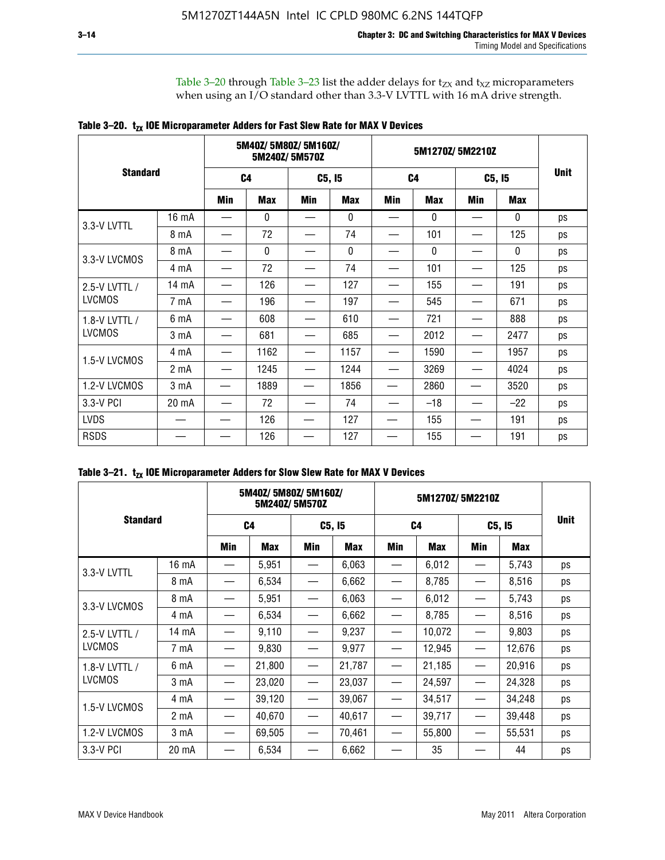Table 3–20 through Table 3–23 list the adder delays for  $t_{ZX}$  and  $t_{XZ}$  microparameters when using an I/O standard other than 3.3-V LVTTL with 16 mA drive strength.

|  |  |  | Table 3–20. $t_{zx}$ IOE Microparameter Adders for Fast Slew Rate for MAX V Devices |
|--|--|--|-------------------------------------------------------------------------------------|
|--|--|--|-------------------------------------------------------------------------------------|

|                 |                  | 5M40Z/ 5M80Z/ 5M160Z/<br>5M240Z/5M570Z |              |        |            |                | 5M1270Z/5M2210Z |        |              |             |
|-----------------|------------------|----------------------------------------|--------------|--------|------------|----------------|-----------------|--------|--------------|-------------|
| <b>Standard</b> |                  | C <sub>4</sub>                         |              | C5, I5 |            | C <sub>4</sub> |                 | C5, I5 |              | <b>Unit</b> |
|                 |                  | Min                                    | <b>Max</b>   | Min    | <b>Max</b> | Min            | <b>Max</b>      | Min    | <b>Max</b>   |             |
| 3.3-V LVTTL     | 16 mA            |                                        | 0            |        | 0          |                | $\mathbf{0}$    |        | 0            | ps          |
|                 | 8 mA             |                                        | 72           |        | 74         |                | 101             |        | 125          | ps          |
| 3.3-V LVCMOS    | 8 mA             |                                        | $\mathbf{0}$ |        | 0          |                | $\mathbf{0}$    |        | $\mathbf{0}$ | ps          |
|                 | 4 mA             |                                        | 72           |        | 74         |                | 101             |        | 125          | ps          |
| 2.5-V LVTTL /   | 14 mA            |                                        | 126          |        | 127        |                | 155             |        | 191          | ps          |
| <b>LVCMOS</b>   | 7 mA             |                                        | 196          |        | 197        |                | 545             |        | 671          | ps          |
| 1.8-V LVTTL /   | 6 mA             |                                        | 608          |        | 610        |                | 721             |        | 888          | ps          |
| <b>LVCMOS</b>   | 3 mA             |                                        | 681          |        | 685        |                | 2012            |        | 2477         | ps          |
| 1.5-V LVCMOS    | 4 mA             |                                        | 1162         |        | 1157       |                | 1590            |        | 1957         | ps          |
|                 | 2 mA             |                                        | 1245         |        | 1244       |                | 3269            |        | 4024         | ps          |
| 1.2-V LVCMOS    | 3 <sub>m</sub> A |                                        | 1889         |        | 1856       |                | 2860            |        | 3520         | ps          |
| 3.3-V PCI       | 20 mA            |                                        | 72           |        | 74         |                | $-18$           |        | $-22$        | ps          |
| <b>LVDS</b>     |                  |                                        | 126          |        | 127        |                | 155             |        | 191          | ps          |
| <b>RSDS</b>     |                  |                                        | 126          |        | 127        |                | 155             |        | 191          | ps          |

| Table 3–21. $t_{zx}$ IOE Microparameter Adders for Slow Slew Rate for MAX V Devices |  |  |  |
|-------------------------------------------------------------------------------------|--|--|--|
|-------------------------------------------------------------------------------------|--|--|--|

|                 |                  | 5M40Z/5M80Z/5M160Z/<br>5M240Z/5M570Z |            |                                 |        |                               | 5M1270Z/5M2210Z |        |        |             |
|-----------------|------------------|--------------------------------------|------------|---------------------------------|--------|-------------------------------|-----------------|--------|--------|-------------|
| <b>Standard</b> |                  | C <sub>4</sub>                       |            | C5, I5                          |        | C <sub>4</sub>                |                 | C5, I5 |        | <b>Unit</b> |
|                 |                  | Min                                  | <b>Max</b> | Min                             | Max    | <b>Min</b>                    | <b>Max</b>      | Min    | Max    |             |
| 3.3-V LVTTL     | 16 mA            |                                      | 5,951      |                                 | 6,063  |                               | 6,012           |        | 5,743  | ps          |
|                 | 8 mA             |                                      | 6,534      | $\hspace{0.1mm}-\hspace{0.1mm}$ | 6,662  | —                             | 8,785           |        | 8,516  | ps          |
|                 | 8 mA             |                                      | 5,951      |                                 | 6,063  |                               | 6,012           |        | 5,743  | ps          |
| 3.3-V LVCMOS    | 4 mA             |                                      | 6,534      |                                 | 6,662  |                               | 8,785           |        | 8,516  | ps          |
| 2.5-V LVTTL /   | $14 \text{ mA}$  |                                      | 9,110      |                                 | 9,237  |                               | 10,072          |        | 9,803  | ps          |
| <b>LVCMOS</b>   | 7 mA             |                                      | 9,830      | —                               | 9,977  | —                             | 12,945          |        | 12,676 | ps          |
| 1.8-V LVTTL /   | 6 mA             |                                      | 21,800     |                                 | 21,787 |                               | 21,185          |        | 20,916 | ps          |
| <b>LVCMOS</b>   | 3 mA             |                                      | 23,020     | $\hspace{0.05cm}$               | 23,037 | $\overbrace{\phantom{12333}}$ | 24,597          |        | 24,328 | ps          |
|                 | 4 mA             |                                      | 39,120     |                                 | 39,067 |                               | 34,517          |        | 34,248 | ps          |
| 1.5-V LVCMOS    | 2 mA             |                                      | 40,670     |                                 | 40,617 |                               | 39,717          |        | 39,448 | ps          |
| 1.2-V LVCMOS    | 3 <sub>m</sub> A |                                      | 69,505     |                                 | 70,461 |                               | 55,800          |        | 55,531 | ps          |
| 3.3-V PCI       | 20 mA            |                                      | 6,534      |                                 | 6,662  |                               | 35              |        | 44     | ps          |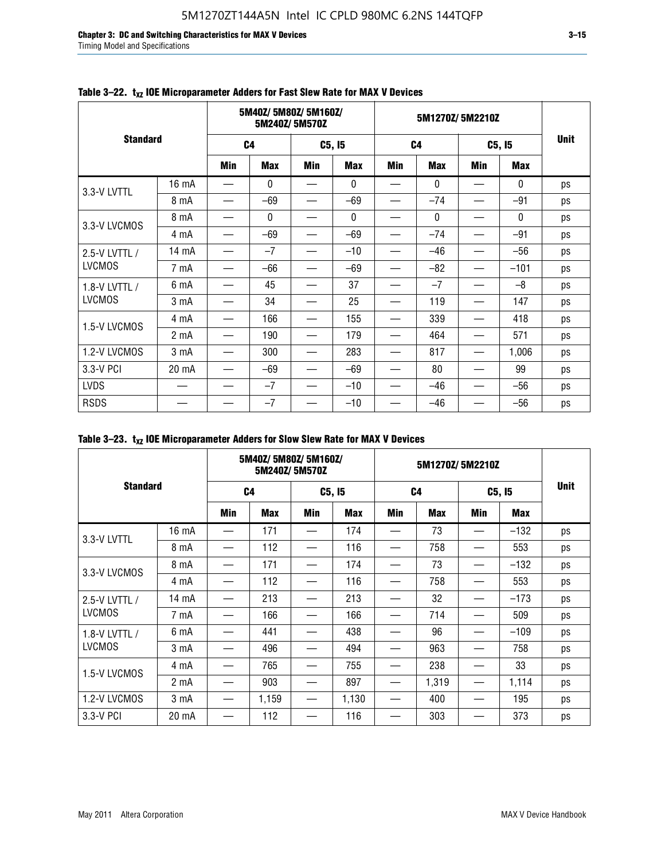**Chapter 3: DC and Switching Characteristics for MAX V Devices 3–15** Timing Model and Specifications

|                 |                  | 5M40Z/5M80Z/5M160Z/<br>5M240Z/5M570Z |              |            |              |                | 5M1270Z/5M2210Z |            |              |             |  |
|-----------------|------------------|--------------------------------------|--------------|------------|--------------|----------------|-----------------|------------|--------------|-------------|--|
| <b>Standard</b> |                  | C <sub>4</sub>                       |              | C5, I5     |              | C <sub>4</sub> |                 | C5, I5     |              | <b>Unit</b> |  |
|                 |                  | <b>Min</b>                           | <b>Max</b>   | <b>Min</b> | <b>Max</b>   | <b>Min</b>     | <b>Max</b>      | <b>Min</b> | <b>Max</b>   |             |  |
| 3.3-V LVTTL     | 16 mA            |                                      | $\mathbf{0}$ |            | $\mathbf{0}$ |                | $\mathbf{0}$    |            | $\mathbf{0}$ | ps          |  |
|                 | 8 mA             |                                      | $-69$        |            | $-69$        |                | $-74$           |            | $-91$        | ps          |  |
| 3.3-V LVCMOS    | 8 mA             |                                      | 0            |            | 0            |                | $\mathbf{0}$    |            | $\mathbf 0$  | ps          |  |
|                 | 4 mA             |                                      | $-69$        |            | $-69$        |                | $-74$           |            | $-91$        | ps          |  |
| 2.5-V LVTTL /   | 14 mA            |                                      | $-7$         |            | $-10$        |                | $-46$           |            | $-56$        | ps          |  |
| <b>LVCMOS</b>   | 7 mA             |                                      | -66          |            | $-69$        |                | $-82$           |            | $-101$       | ps          |  |
| 1.8-V LVTTL /   | 6 mA             |                                      | 45           |            | 37           |                | $-7$            |            | $-8$         | ps          |  |
| <b>LVCMOS</b>   | 3 mA             |                                      | 34           |            | 25           |                | 119             |            | 147          | ps          |  |
| 1.5-V LVCMOS    | 4 mA             |                                      | 166          |            | 155          |                | 339             |            | 418          | ps          |  |
|                 | 2 <sub>m</sub> A |                                      | 190          |            | 179          |                | 464             |            | 571          | ps          |  |
| 1.2-V LVCMOS    | 3 <sub>m</sub> A |                                      | 300          |            | 283          |                | 817             | —          | 1,006        | ps          |  |
| 3.3-V PCI       | 20 mA            |                                      | $-69$        |            | $-69$        |                | 80              |            | 99           | ps          |  |
| <b>LVDS</b>     |                  |                                      | $-7$         |            | $-10$        |                | $-46$           |            | $-56$        | ps          |  |
| <b>RSDS</b>     |                  |                                      | $-7$         |            | $-10$        |                | $-46$           |            | $-56$        | ps          |  |

### Table 3-22. t<sub>xz</sub> IOE Microparameter Adders for Fast Slew Rate for MAX V Devices

|                 |                  |                | 5M40Z/5M80Z/5M160Z/ | 5M240Z/5M570Z |            |                | 5M1270Z/5M2210Z |            |            |             |
|-----------------|------------------|----------------|---------------------|---------------|------------|----------------|-----------------|------------|------------|-------------|
| <b>Standard</b> |                  | C <sub>4</sub> |                     | C5, I5        |            | C <sub>4</sub> |                 | C5, I5     |            | <b>Unit</b> |
|                 |                  | Min            | <b>Max</b>          | Min           | <b>Max</b> | Min            | <b>Max</b>      | <b>Min</b> | <b>Max</b> |             |
|                 | 16 mA            |                | 171                 |               | 174        | —              | 73              |            | $-132$     | ps          |
| 3.3-V LVTTL     | 8 mA             |                | 112                 |               | 116        |                | 758             |            | 553        | ps          |
| 3.3-V LVCMOS    | 8 mA             |                | 171                 |               | 174        |                | 73              |            | $-132$     | ps          |
|                 | 4 mA             |                | 112                 |               | 116        |                | 758             |            | 553        | ps          |
| 2.5-V LVTTL /   | 14 mA            |                | 213                 |               | 213        |                | 32              |            | $-173$     | ps          |
| <b>LVCMOS</b>   | 7 mA             |                | 166                 |               | 166        |                | 714             |            | 509        | ps          |
| 1.8-V LVTTL /   | 6 mA             |                | 441                 |               | 438        |                | 96              |            | $-109$     | ps          |
| <b>LVCMOS</b>   | 3 mA             |                | 496                 |               | 494        |                | 963             |            | 758        | ps          |
|                 | 4 mA             |                | 765                 |               | 755        |                | 238             |            | 33         | ps          |
| 1.5-V LVCMOS    | 2 <sub>m</sub> A |                | 903                 |               | 897        |                | 1,319           |            | 1,114      | ps          |
| 1.2-V LVCMOS    | 3 <sub>m</sub> A |                | 1,159               | —             | 1,130      | —              | 400             |            | 195        | ps          |
| 3.3-V PCI       | 20 mA            |                | 112                 |               | 116        |                | 303             |            | 373        | ps          |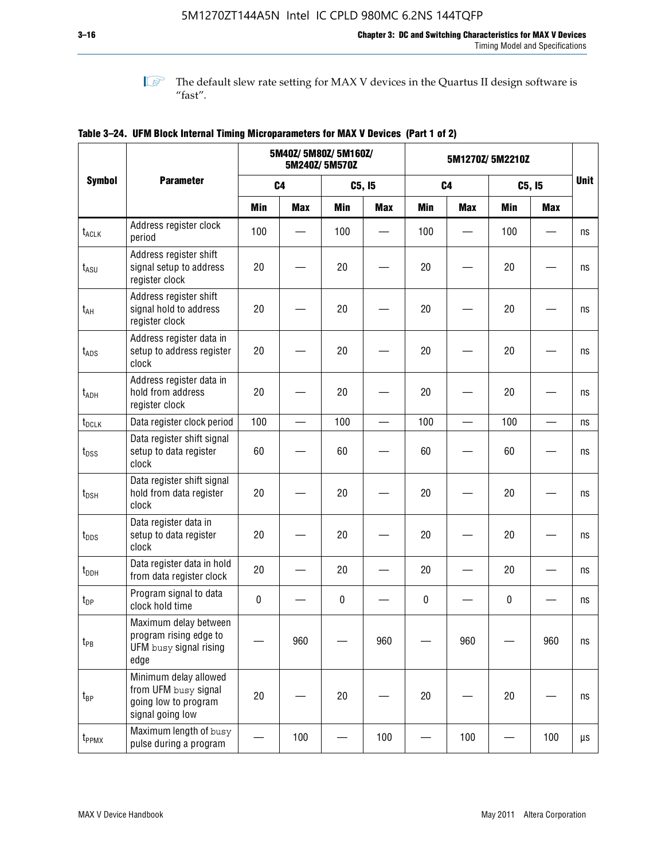**1 The default slew rate setting for MAX V devices in the Quartus II design software is**  $^{\prime\prime}$  fast".

|                              |                                                                                           | 5M40Z/ 5M80Z/ 5M160Z/<br>5M240Z/5M570Z |                |            |            |            | 5M1270Z/5M2210Z |            |            |             |  |
|------------------------------|-------------------------------------------------------------------------------------------|----------------------------------------|----------------|------------|------------|------------|-----------------|------------|------------|-------------|--|
| <b>Symbol</b>                | <b>Parameter</b>                                                                          |                                        | C <sub>4</sub> |            | C5, I5     |            | C <sub>4</sub>  |            | C5, I5     | <b>Unit</b> |  |
|                              |                                                                                           | <b>Min</b>                             | <b>Max</b>     | <b>Min</b> | <b>Max</b> | <b>Min</b> | <b>Max</b>      | <b>Min</b> | <b>Max</b> |             |  |
| $t_{\scriptsize\text{ACLK}}$ | Address register clock<br>period                                                          | 100                                    |                | 100        |            | 100        |                 | 100        |            | ns          |  |
| $t_{ASU}$                    | Address register shift<br>signal setup to address<br>register clock                       | 20                                     |                | 20         |            | 20         |                 | 20         |            | ns          |  |
| $t_{AH}$                     | Address register shift<br>signal hold to address<br>register clock                        | 20                                     |                | 20         |            | 20         |                 | 20         |            | ns          |  |
| $t_{\text{ADS}}$             | Address register data in<br>setup to address register<br>clock                            | 20                                     |                | 20         |            | 20         |                 | 20         |            | ns          |  |
| t <sub>ADH</sub>             | Address register data in<br>hold from address<br>register clock                           | 20                                     |                | 20         |            | 20         |                 | 20         |            | ns          |  |
| $t_{DCLK}$                   | Data register clock period                                                                | 100                                    |                | 100        |            | 100        |                 | 100        |            | ns          |  |
| $t_{DSS}$                    | Data register shift signal<br>setup to data register<br>clock                             | 60                                     |                | 60         |            | 60         |                 | 60         |            | ns          |  |
| $t_{DSH}$                    | Data register shift signal<br>hold from data register<br>clock                            | 20                                     |                | 20         |            | 20         |                 | 20         |            | ns          |  |
| $t_{\text{DDS}}$             | Data register data in<br>setup to data register<br>clock                                  | 20                                     |                | 20         |            | 20         |                 | 20         |            | ns          |  |
| $t_{DDH}$                    | Data register data in hold<br>from data register clock                                    | 20                                     |                | 20         |            | 20         |                 | 20         |            | ns          |  |
| $t_{DP}$                     | Program signal to data<br>clock hold time                                                 | $\pmb{0}$                              |                | $\pmb{0}$  |            | 0          |                 | $\pmb{0}$  |            | ns          |  |
| $t_{PB}$                     | Maximum delay between<br>program rising edge to<br>UFM busy signal rising<br>edge         |                                        | 960            |            | 960        |            | 960             |            | 960        | ns          |  |
| $t_{\mathsf{BP}}$            | Minimum delay allowed<br>from UFM busy signal<br>going low to program<br>signal going low | 20                                     |                | 20         |            | 20         |                 | 20         |            | ns          |  |
| t <sub>PPMX</sub>            | Maximum length of busy<br>pulse during a program                                          |                                        | 100            |            | 100        |            | 100             |            | 100        | μs          |  |

### **Table 3–24. UFM Block Internal Timing Microparameters for MAX V Devices (Part 1 of 2)**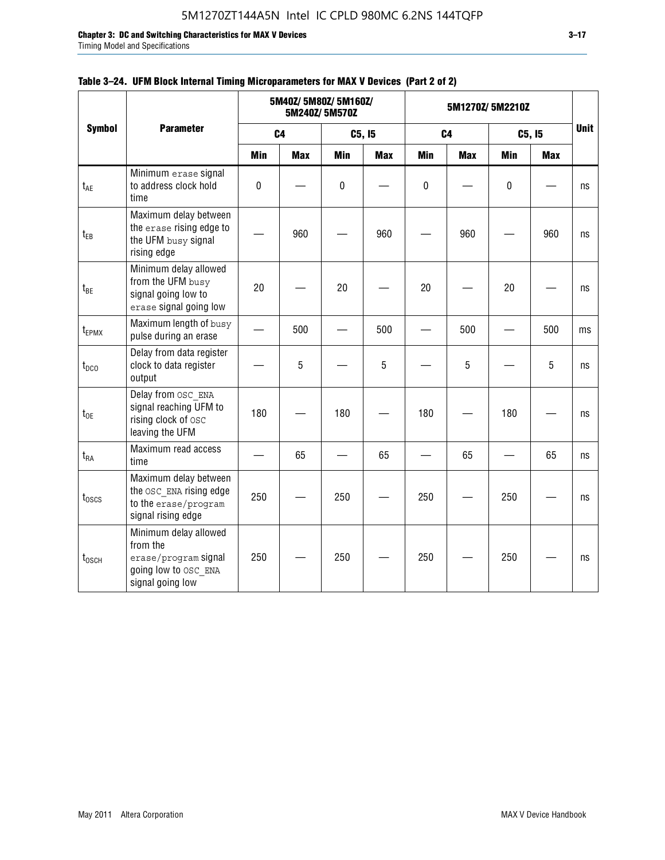Timing Model and Specifications

|                   |                                                                                                       |            |                | 5M40Z/ 5M80Z/ 5M160Z/<br>5M240Z/5M570Z |            | 5M1270Z/5M2210Z |                |            |            |    |
|-------------------|-------------------------------------------------------------------------------------------------------|------------|----------------|----------------------------------------|------------|-----------------|----------------|------------|------------|----|
| <b>Symbol</b>     | <b>Parameter</b>                                                                                      |            | C <sub>4</sub> |                                        | C5, I5     |                 | C <sub>4</sub> |            | C5, I5     |    |
|                   |                                                                                                       | <b>Min</b> | <b>Max</b>     | <b>Min</b>                             | <b>Max</b> | <b>Min</b>      | <b>Max</b>     | <b>Min</b> | <b>Max</b> |    |
| $t_{AE}$          | Minimum erase signal<br>to address clock hold<br>time                                                 | $\pmb{0}$  |                | $\pmb{0}$                              |            | $\pmb{0}$       |                | $\pmb{0}$  |            | ns |
| $t_{EB}$          | Maximum delay between<br>the erase rising edge to<br>the UFM busy signal<br>rising edge               |            | 960            |                                        | 960        |                 | 960            |            | 960        | ns |
| $t_{BE}$          | Minimum delay allowed<br>from the UFM busy<br>signal going low to<br>erase signal going low           | 20         |                | 20                                     |            | 20              |                | 20         |            | ns |
| $t_{EPMX}$        | Maximum length of busy<br>pulse during an erase                                                       |            | 500            |                                        | 500        |                 | 500            |            | 500        | ms |
| $t_{DCO}$         | Delay from data register<br>clock to data register<br>output                                          |            | 5              |                                        | 5          |                 | 5              |            | 5          | ns |
| $t_{0E}$          | Delay from OSC ENA<br>signal reaching UFM to<br>rising clock of osc<br>leaving the UFM                | 180        |                | 180                                    |            | 180             |                | 180        |            | ns |
| $t_{RA}$          | Maximum read access<br>time                                                                           |            | 65             |                                        | 65         |                 | 65             |            | 65         | ns |
| $t_{\rm 0SCS}$    | Maximum delay between<br>the OSC ENA rising edge<br>to the erase/program<br>signal rising edge        | 250        |                | 250                                    |            | 250             |                | 250        |            | ns |
| $t_{\text{OSCH}}$ | Minimum delay allowed<br>from the<br>erase/program signal<br>going low to OSC ENA<br>signal going low | 250        |                | 250                                    |            | 250             |                | 250        |            | ns |

#### **Table 3–24. UFM Block Internal Timing Microparameters for MAX V Devices (Part 2 of 2)**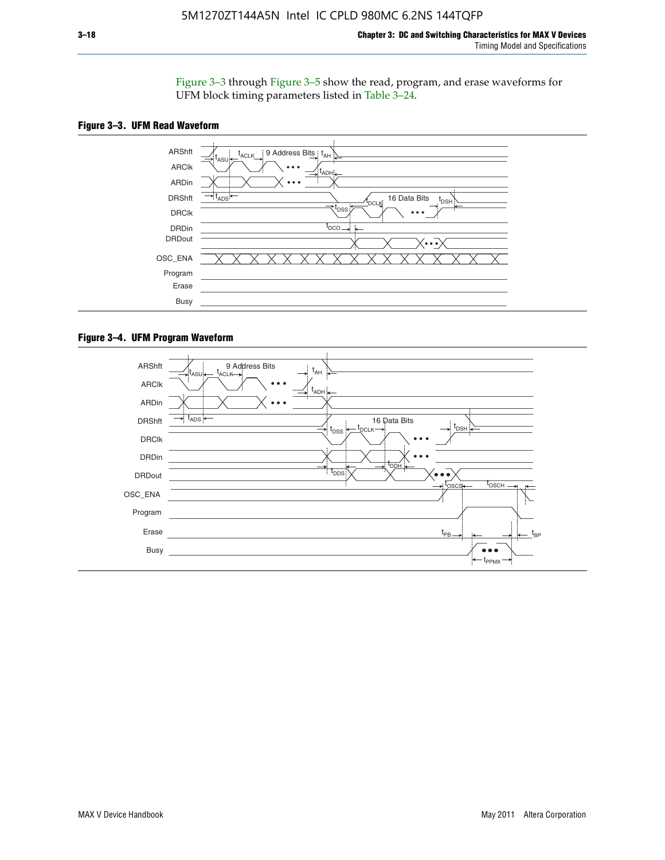Figure 3–3 through Figure 3–5 show the read, program, and erase waveforms for UFM block timing parameters listed in Table 3–24.





#### **Figure 3–4. UFM Program Waveform**

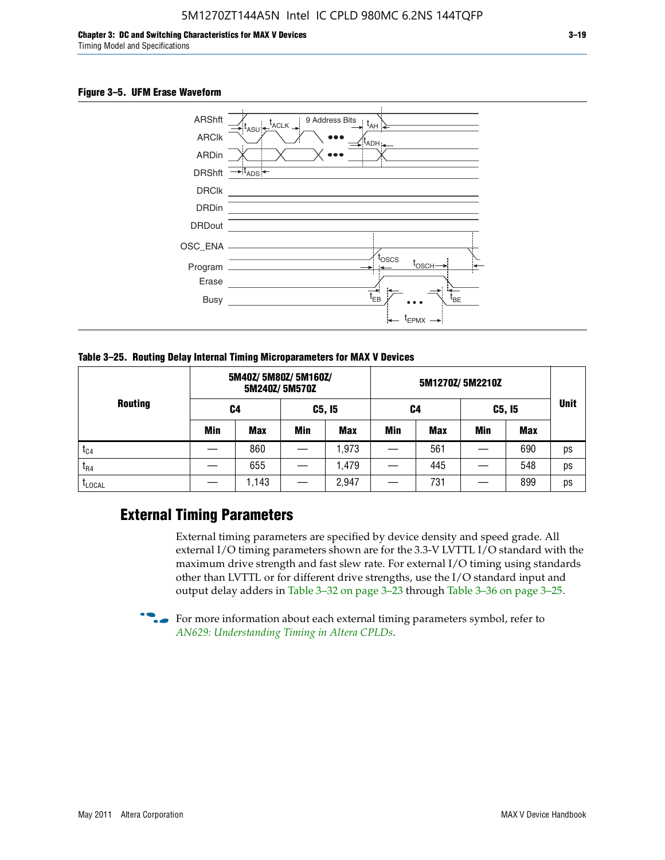#### **Figure 3–5. UFM Erase Waveform**



**Table 3–25. Routing Delay Internal Timing Microparameters for MAX V Devices**

| <b>Routing</b> | 5M40Z/ 5M80Z/ 5M160Z/<br>5M240Z/5M570Z |            |            |            |     |     |            |            |             |
|----------------|----------------------------------------|------------|------------|------------|-----|-----|------------|------------|-------------|
|                | C4                                     |            | C5, I5     |            | C4  |     | C5, I5     |            | <b>Unit</b> |
|                | Min                                    | <b>Max</b> | <b>Min</b> | <b>Max</b> | Min | Max | <b>Min</b> | <b>Max</b> |             |
| $t_{C4}$       |                                        | 860        |            | ,973       |     | 561 |            | 690        | ps          |
| $I_{R4}$       |                                        | 655        |            | .479       |     | 445 |            | 548        | ps          |
| <b>LLOCAL</b>  |                                        | 1,143      |            | 2,947      |     | 731 |            | 899        | ps          |

### **External Timing Parameters**

External timing parameters are specified by device density and speed grade. All external I/O timing parameters shown are for the 3.3-V LVTTL I/O standard with the maximum drive strength and fast slew rate. For external I/O timing using standards other than LVTTL or for different drive strengths, use the I/O standard input and output delay adders in Table 3–32 on page 3–23 through Table 3–36 on page 3–25.

 $\bullet$  For more information about each external timing parameters symbol, refer to *[AN629: Understanding Timing in Altera CPLDs](http://www.altera.com/literature/an/an629.pdf)*.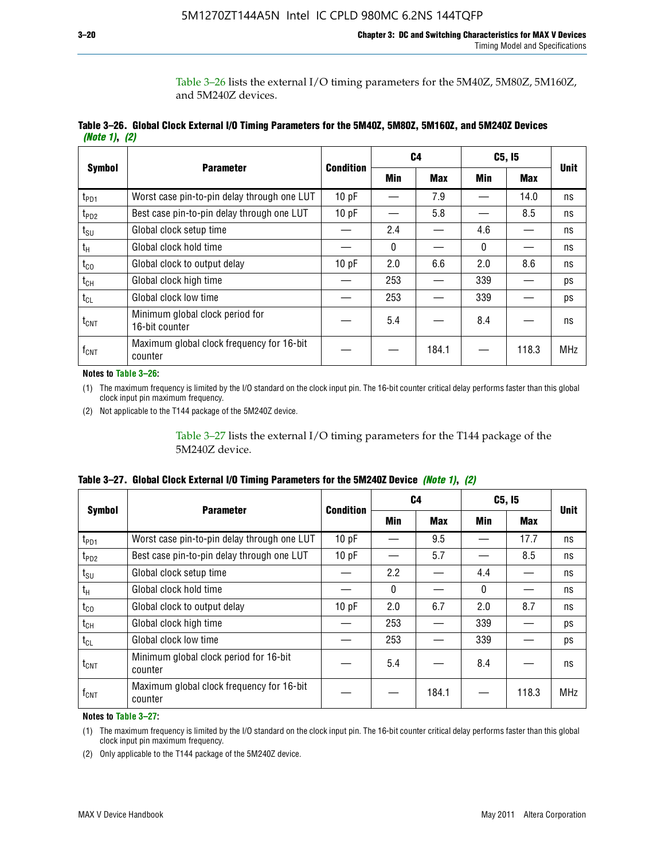Table 3–26 lists the external I/O timing parameters for the 5M40Z, 5M80Z, 5M160Z, and 5M240Z devices.

|               | Table 3–26. Global Clock External I/O Timing Parameters for the 5M40Z, 5M80Z, 5M160Z, and 5M240Z Devices |  |  |
|---------------|----------------------------------------------------------------------------------------------------------|--|--|
| (Note 1), (2) |                                                                                                          |  |  |

|                  |                                                      | <b>Condition</b> |              | C4         |     | C5, I5     | <b>Unit</b> |
|------------------|------------------------------------------------------|------------------|--------------|------------|-----|------------|-------------|
| <b>Symbol</b>    | <b>Parameter</b>                                     |                  | Min          | <b>Max</b> | Min | <b>Max</b> |             |
| t <sub>PD1</sub> | Worst case pin-to-pin delay through one LUT          | 10pF             |              | 7.9        |     | 14.0       | ns          |
| $t_{PD2}$        | Best case pin-to-pin delay through one LUT           | 10 pF            |              | 5.8        |     | 8.5        | ns          |
| $t_{\text{SU}}$  | Global clock setup time                              |                  | 2.4          |            | 4.6 |            | ns          |
| $t_{H}$          | Global clock hold time                               |                  | $\mathbf{0}$ |            | 0   |            | ns          |
| $t_{CO}$         | Global clock to output delay                         | 10pF             | 2.0          | 6.6        | 2.0 | 8.6        | ns          |
| $t_{CH}$         | Global clock high time                               |                  | 253          |            | 339 |            | ps          |
| $t_{CL}$         | Global clock low time                                |                  | 253          |            | 339 |            | ps          |
| $t_{\text{CNT}}$ | Minimum global clock period for<br>16-bit counter    |                  | 5.4          |            | 8.4 |            | ns          |
| $f_{\text{CNT}}$ | Maximum global clock frequency for 16-bit<br>counter |                  |              | 184.1      |     | 118.3      | <b>MHz</b>  |

**Notes to Table 3–26:**

(1) The maximum frequency is limited by the I/O standard on the clock input pin. The 16-bit counter critical delay performs faster than this global clock input pin maximum frequency.

(2) Not applicable to the T144 package of the 5M240Z device.

Table 3–27 lists the external I/O timing parameters for the T144 package of the 5M240Z device.

|  | Table 3–27. Global Clock External I/O Timing Parameters for the 5M240Z Device <i>(Note 1), (2)</i> |  |  |  |  |
|--|----------------------------------------------------------------------------------------------------|--|--|--|--|
|--|----------------------------------------------------------------------------------------------------|--|--|--|--|

|                    |                                                      |                  |          | C <sub>4</sub> | C5, I5   | <b>Unit</b> |            |  |
|--------------------|------------------------------------------------------|------------------|----------|----------------|----------|-------------|------------|--|
| <b>Symbol</b>      | <b>Parameter</b>                                     | <b>Condition</b> | Min      | <b>Max</b>     | Min      | <b>Max</b>  |            |  |
| t <sub>PD1</sub>   | Worst case pin-to-pin delay through one LUT          | 10 pF            |          | 9.5            |          | 17.7        | ns         |  |
| t <sub>PD2</sub>   | Best case pin-to-pin delay through one LUT           | 10pF             |          | 5.7            |          | 8.5         | ns         |  |
| $t_{\text{SU}}$    | Global clock setup time                              |                  | 2.2      |                | 4.4      |             | ns         |  |
| $t_{\rm H}$        | Global clock hold time                               |                  | $\Omega$ |                | $\Omega$ |             | ns         |  |
| $t_{CO}$           | Global clock to output delay                         | 10pF             | 2.0      | 6.7            | 2.0      | 8.7         | ns         |  |
| t <sub>CH</sub>    | Global clock high time                               |                  | 253      |                | 339      |             | ps         |  |
| $t_{CL}$           | Global clock low time                                |                  | 253      |                | 339      |             | ps         |  |
| $t_{\text{CNT}}$   | Minimum global clock period for 16-bit<br>counter    |                  | 5.4      |                | 8.4      |             | ns         |  |
| $f_{\mathsf{CNT}}$ | Maximum global clock frequency for 16-bit<br>counter |                  |          | 184.1          |          | 118.3       | <b>MHz</b> |  |

**Notes to Table 3–27:**

(1) The maximum frequency is limited by the I/O standard on the clock input pin. The 16-bit counter critical delay performs faster than this global clock input pin maximum frequency.

(2) Only applicable to the T144 package of the 5M240Z device.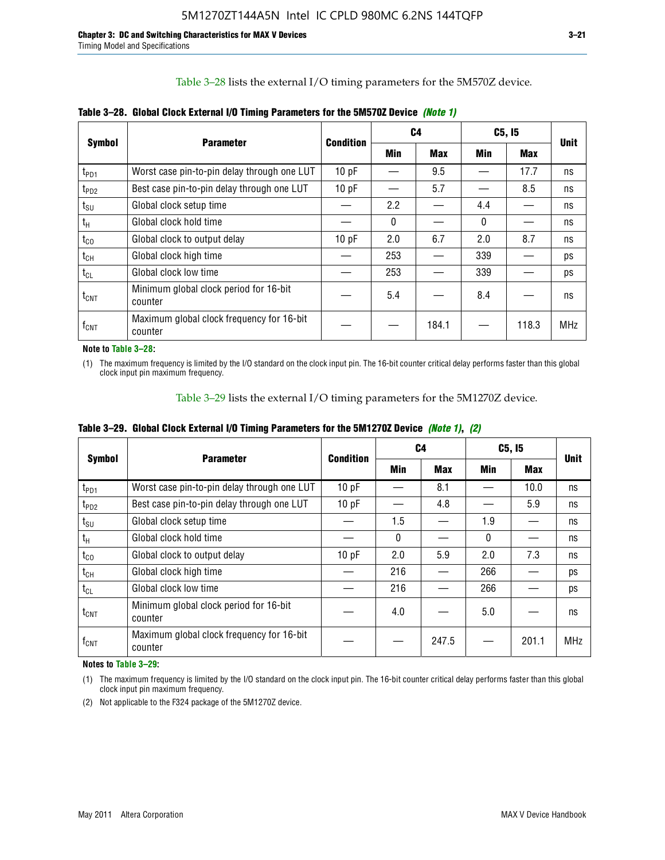Table 3–28 lists the external I/O timing parameters for the 5M570Z device.

|                             | <b>Parameter</b>                                     | <b>Condition</b> | C4           |            |     | C5, I5     | <b>Unit</b> |
|-----------------------------|------------------------------------------------------|------------------|--------------|------------|-----|------------|-------------|
| <b>Symbol</b>               |                                                      |                  | <b>Min</b>   | <b>Max</b> | Min | <b>Max</b> |             |
| t <sub>PD1</sub>            | Worst case pin-to-pin delay through one LUT          | 10 pF            |              | 9.5        |     | 17.7       | ns          |
| $t_{PD2}$                   | Best case pin-to-pin delay through one LUT           | 10 pF            |              | 5.7        |     | 8.5        | ns          |
| $t_{\scriptstyle\text{SU}}$ | Global clock setup time                              |                  | 2.2          |            | 4.4 |            | ns          |
| $t_{H}$                     | Global clock hold time                               |                  | $\mathbf{0}$ |            | 0   |            | ns          |
| $t_{CO}$                    | Global clock to output delay                         | 10pF             | 2.0          | 6.7        | 2.0 | 8.7        | ns          |
| $t_{CH}$                    | Global clock high time                               |                  | 253          |            | 339 |            | ps          |
| $t_{CL}$                    | Global clock low time                                |                  | 253          |            | 339 |            | ps          |
| $t_{\text{CNT}}$            | Minimum global clock period for 16-bit<br>counter    |                  | 5.4          |            | 8.4 |            | ns          |
| $\mathsf{f}_{\mathsf{CNT}}$ | Maximum global clock frequency for 16-bit<br>counter |                  |              | 184.1      |     | 118.3      | <b>MHz</b>  |

**Table 3–28. Global Clock External I/O Timing Parameters for the 5M570Z Device** *(Note 1)*

**Note to Table 3–28:**

(1) The maximum frequency is limited by the I/O standard on the clock input pin. The 16-bit counter critical delay performs faster than this global clock input pin maximum frequency.

Table 3–29 lists the external I/O timing parameters for the 5M1270Z device.

|  | Table 3–29. Global Clock External I/O Timing Parameters for the 5M1270Z Device <i>(Note 1)</i> , (2) |  |  |  |  |
|--|------------------------------------------------------------------------------------------------------|--|--|--|--|
|--|------------------------------------------------------------------------------------------------------|--|--|--|--|

|                             |                                                      |           |            | C4         | C5, I5   | <b>Unit</b> |            |
|-----------------------------|------------------------------------------------------|-----------|------------|------------|----------|-------------|------------|
| <b>Symbol</b>               | <b>Parameter</b>                                     | Condition | <b>Min</b> | <b>Max</b> | Min      | Max         |            |
| $t_{PD1}$                   | Worst case pin-to-pin delay through one LUT          | 10pF      |            | 8.1        |          | 10.0        | ns         |
| $t_{PD2}$                   | Best case pin-to-pin delay through one LUT           | 10pF      |            | 4.8        |          | 5.9         | ns         |
| $t_{\scriptstyle\text{SU}}$ | Global clock setup time                              |           | 1.5        |            | 1.9      |             | ns         |
| $t_{\rm H}$                 | Global clock hold time                               |           | $\Omega$   |            | $\Omega$ |             | ns         |
| $t_{CO}$                    | Global clock to output delay                         | 10pF      | 2.0        | 5.9        | 2.0      | 7.3         | ns         |
| $t_{CH}$                    | Global clock high time                               |           | 216        |            | 266      |             | ps         |
| $t_{CL}$                    | Global clock low time                                |           | 216        |            | 266      |             | ps         |
| $t_{\text{CNT}}$            | Minimum global clock period for 16-bit<br>counter    |           | 4.0        |            | 5.0      |             | ns         |
| $\mathsf{f}_{\mathsf{CNT}}$ | Maximum global clock frequency for 16-bit<br>counter |           |            | 247.5      |          | 201.1       | <b>MHz</b> |

**Notes to Table 3–29:**

(1) The maximum frequency is limited by the I/O standard on the clock input pin. The 16-bit counter critical delay performs faster than this global clock input pin maximum frequency.

(2) Not applicable to the F324 package of the 5M1270Z device.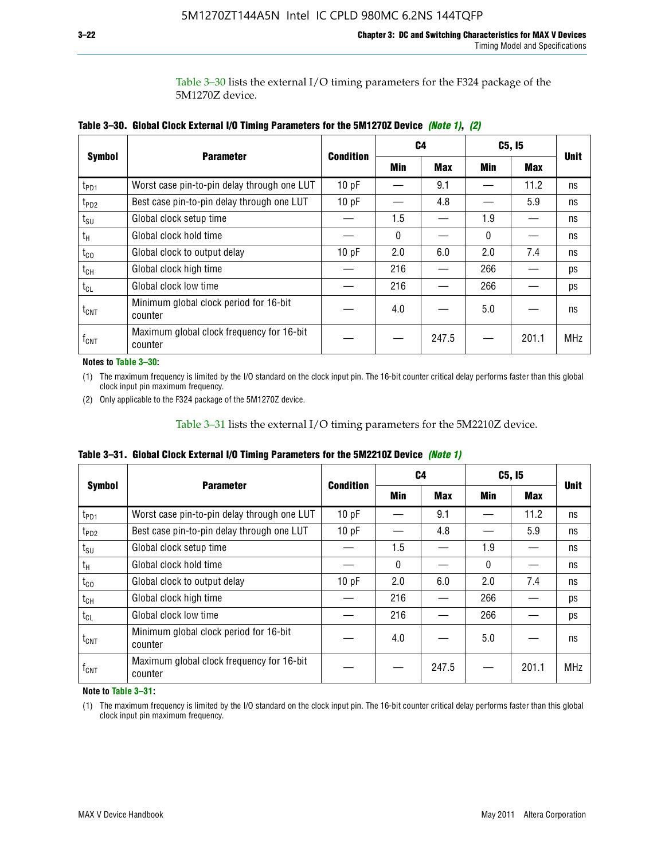Table 3–30 lists the external I/O timing parameters for the F324 package of the 5M1270Z device.

|                  |                                                      |                  |          | C <sub>4</sub> | C5, I5     | <b>Unit</b> |            |  |
|------------------|------------------------------------------------------|------------------|----------|----------------|------------|-------------|------------|--|
| <b>Symbol</b>    | <b>Parameter</b>                                     | <b>Condition</b> | Min      | <b>Max</b>     | <b>Min</b> | <b>Max</b>  |            |  |
| t <sub>PD1</sub> | Worst case pin-to-pin delay through one LUT          | 10pF             |          | 9.1            |            | 11.2        | ns         |  |
| $t_{PD2}$        | Best case pin-to-pin delay through one LUT           | 10pF             |          | 4.8            |            | 5.9         | ns         |  |
| $t_{\text{SU}}$  | Global clock setup time                              |                  | 1.5      |                | 1.9        |             | ns         |  |
| $t_{\rm H}$      | Global clock hold time                               |                  | $\Omega$ |                | 0          |             | ns         |  |
| $t_{CO}$         | Global clock to output delay                         | 10pF             | 2.0      | 6.0            | 2.0        | 7.4         | ns         |  |
| $t_{CH}$         | Global clock high time                               |                  | 216      |                | 266        |             | ps         |  |
| $t_{CL}$         | Global clock low time                                |                  | 216      |                | 266        |             | ps         |  |
| $t_{\text{CNT}}$ | Minimum global clock period for 16-bit<br>counter    |                  | 4.0      |                | 5.0        |             | ns         |  |
| $f_{\text{CNT}}$ | Maximum global clock frequency for 16-bit<br>counter |                  |          | 247.5          |            | 201.1       | <b>MHz</b> |  |

**Table 3–30. Global Clock External I/O Timing Parameters for the 5M1270Z Device** *(Note 1)***,** *(2)*

**Notes to Table 3–30:**

(1) The maximum frequency is limited by the I/O standard on the clock input pin. The 16-bit counter critical delay performs faster than this global clock input pin maximum frequency.

(2) Only applicable to the F324 package of the 5M1270Z device.

Table 3–31 lists the external I/O timing parameters for the 5M2210Z device.

|  | Table 3–31. Global Clock External I/O Timing Parameters for the 5M2210Z Device <i>(Note 1)</i> |  |  |  |  |
|--|------------------------------------------------------------------------------------------------|--|--|--|--|
|--|------------------------------------------------------------------------------------------------|--|--|--|--|

|                    | <b>Parameter</b>                                     | <b>Condition</b> |            | C4         |          | C5, I5     | <b>Unit</b> |
|--------------------|------------------------------------------------------|------------------|------------|------------|----------|------------|-------------|
| <b>Symbol</b>      |                                                      |                  | <b>Min</b> | <b>Max</b> | Min      | <b>Max</b> |             |
| $t_{PD1}$          | Worst case pin-to-pin delay through one LUT          | 10pF             |            | 9.1        |          | 11.2       | ns          |
| $t_{PD2}$          | Best case pin-to-pin delay through one LUT           | 10 pF            |            | 4.8        |          | 5.9        | ns          |
| $t_{\text{SU}}$    | Global clock setup time                              |                  | 1.5        |            | 1.9      |            | ns          |
| $t_{H}$            | Global clock hold time                               |                  | $\Omega$   |            | $\Omega$ |            | ns          |
| $t_{\rm CO}$       | Global clock to output delay                         | 10pF             | 2.0        | 6.0        | 2.0      | 7.4        | ns          |
| $t_{CH}$           | Global clock high time                               |                  | 216        |            | 266      |            | ps          |
| $t_{CL}$           | Global clock low time                                |                  | 216        |            | 266      |            | ps          |
| $t_{\text{CNT}}$   | Minimum global clock period for 16-bit<br>counter    |                  | 4.0        |            | 5.0      |            | ns          |
| $f_{\mathsf{CNT}}$ | Maximum global clock frequency for 16-bit<br>counter |                  |            | 247.5      |          | 201.1      | <b>MHz</b>  |

**Note to Table 3–31:**

(1) The maximum frequency is limited by the I/O standard on the clock input pin. The 16-bit counter critical delay performs faster than this global clock input pin maximum frequency.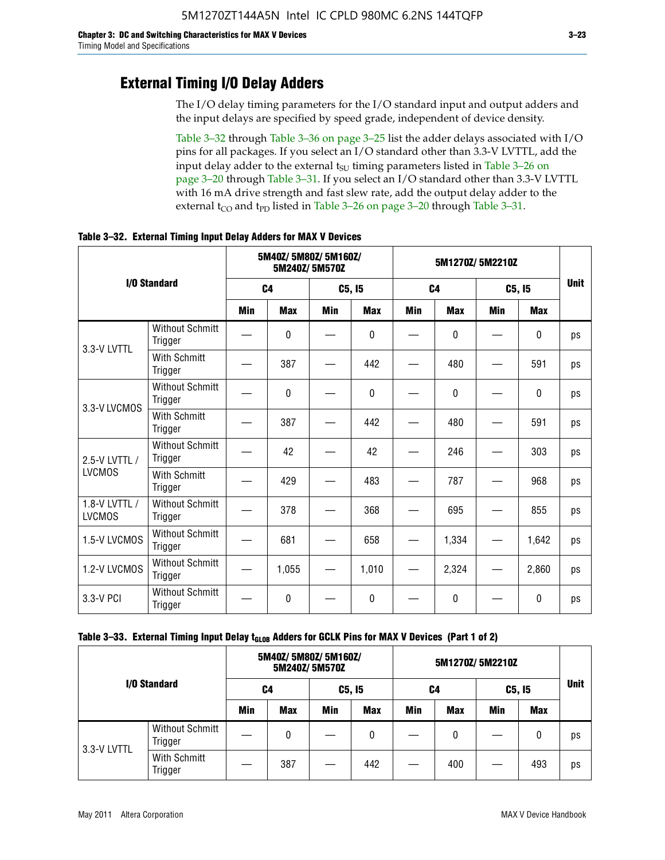### **External Timing I/O Delay Adders**

The I/O delay timing parameters for the I/O standard input and output adders and the input delays are specified by speed grade, independent of device density.

Table 3–32 through Table 3–36 on page 3–25 list the adder delays associated with I/O pins for all packages. If you select an I/O standard other than 3.3-V LVTTL, add the input delay adder to the external  $t_{\text{SU}}$  timing parameters listed in Table 3–26 on page 3–20 through Table 3–31. If you select an I/O standard other than 3.3-V LVTTL with 16 mA drive strength and fast slew rate, add the output delay adder to the external  $t_{CO}$  and  $t_{PD}$  listed in Table 3–26 on page 3–20 through Table 3–31.

|                                |                                   | 5M40Z/ 5M80Z/ 5M160Z/<br>5M240Z/5M570Z |                |            |              | 5M1270Z/5M2210Z |                |     |              |    |
|--------------------------------|-----------------------------------|----------------------------------------|----------------|------------|--------------|-----------------|----------------|-----|--------------|----|
|                                | I/O Standard                      |                                        | C <sub>4</sub> |            | C5, I5       |                 | C <sub>4</sub> |     | C5, I5       |    |
|                                |                                   | Min                                    | <b>Max</b>     | <b>Min</b> | <b>Max</b>   | <b>Min</b>      | <b>Max</b>     | Min | <b>Max</b>   |    |
| 3.3-V LVTTL                    | <b>Without Schmitt</b><br>Trigger |                                        | 0              |            | $\mathbf{0}$ |                 | 0              |     | $\mathbf{0}$ | ps |
|                                | <b>With Schmitt</b><br>Trigger    |                                        | 387            |            | 442          |                 | 480            |     | 591          | ps |
| 3.3-V LVCMOS                   | <b>Without Schmitt</b><br>Trigger |                                        | 0              |            | $\Omega$     |                 | $\Omega$       |     | $\Omega$     | ps |
|                                | <b>With Schmitt</b><br>Trigger    |                                        | 387            |            | 442          |                 | 480            |     | 591          | ps |
| 2.5-V LVTTL /                  | <b>Without Schmitt</b><br>Trigger |                                        | 42             |            | 42           |                 | 246            |     | 303          | ps |
| <b>LVCMOS</b>                  | With Schmitt<br>Trigger           |                                        | 429            |            | 483          |                 | 787            |     | 968          | ps |
| 1.8-V LVTTL /<br><b>LVCMOS</b> | <b>Without Schmitt</b><br>Trigger |                                        | 378            |            | 368          |                 | 695            |     | 855          | ps |
| 1.5-V LVCMOS                   | <b>Without Schmitt</b><br>Trigger |                                        | 681            |            | 658          |                 | 1,334          |     | 1,642        | ps |
| 1.2-V LVCMOS                   | <b>Without Schmitt</b><br>Trigger |                                        | 1,055          |            | 1,010        |                 | 2,324          |     | 2,860        | ps |
| 3.3-V PCI                      | <b>Without Schmitt</b><br>Trigger |                                        | 0              |            | $\Omega$     |                 | $\Omega$       |     | $\Omega$     | ps |

**Table 3–32. External Timing Input Delay Adders for MAX V Devices**

| I/O Standard |                                   |            | 5M40Z/ 5M80Z/ 5M160Z/ | 5M240Z/5M570Z |            |     |            |        |            |             |
|--------------|-----------------------------------|------------|-----------------------|---------------|------------|-----|------------|--------|------------|-------------|
|              |                                   | C4         |                       | C5, I5        |            | C4  |            | C5, 15 |            | <b>Unit</b> |
|              |                                   | <b>Min</b> | <b>Max</b>            | Min           | <b>Max</b> | Min | <b>Max</b> | Min    | <b>Max</b> |             |
| 3.3-V LVTTL  | <b>Without Schmitt</b><br>Trigger |            | 0                     |               | 0          |     | 0          |        | 0          | ps          |
|              | With Schmitt<br>Trigger           |            | 387                   |               | 442        |     | 400        |        | 493        | ps          |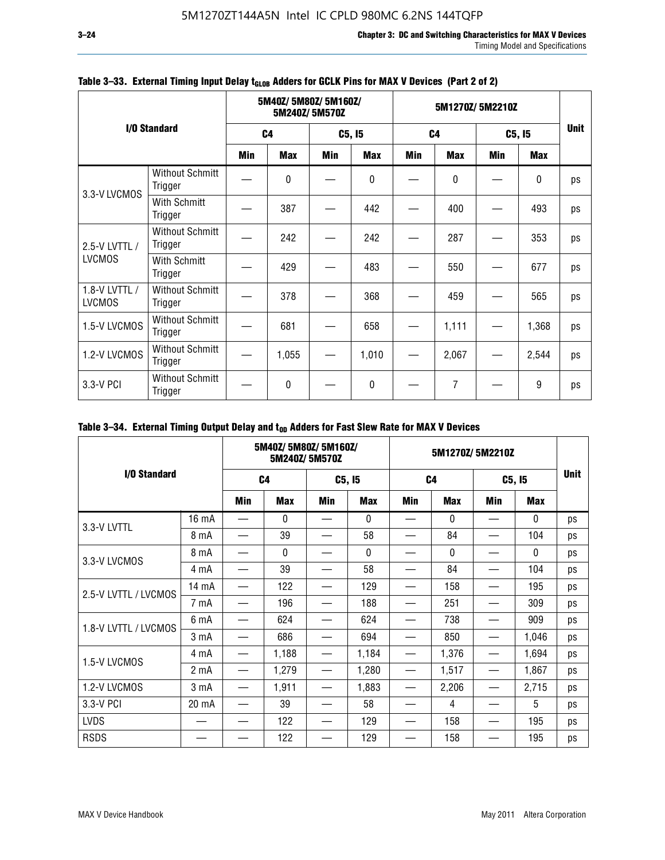|                                |                                   |     | 5M40Z/5M80Z/5M160Z/<br>5M240Z/5M570Z |        |            |                | 5M1270Z/5M2210Z |            |             |             |  |
|--------------------------------|-----------------------------------|-----|--------------------------------------|--------|------------|----------------|-----------------|------------|-------------|-------------|--|
|                                | I/O Standard                      |     | C <sub>4</sub>                       | C5, I5 |            | C <sub>4</sub> |                 | C5, I5     |             | <b>Unit</b> |  |
|                                |                                   | Min | <b>Max</b>                           | Min    | <b>Max</b> | Min            | <b>Max</b>      | <b>Min</b> | <b>Max</b>  |             |  |
| 3.3-V LVCMOS                   | <b>Without Schmitt</b><br>Trigger |     | $\Omega$                             |        | 0          |                | 0               |            | $\mathbf 0$ | ps          |  |
|                                | With Schmitt<br>Trigger           |     | 387                                  |        | 442        |                | 400             |            | 493         | ps          |  |
| 2.5-V LVTTL /                  | <b>Without Schmitt</b><br>Trigger |     | 242                                  |        | 242        |                | 287             |            | 353         | ps          |  |
| <b>LVCMOS</b>                  | With Schmitt<br>Trigger           |     | 429                                  |        | 483        |                | 550             |            | 677         | ps          |  |
| 1.8-V LVTTL /<br><b>LVCMOS</b> | <b>Without Schmitt</b><br>Trigger |     | 378                                  |        | 368        |                | 459             |            | 565         | ps          |  |
| 1.5-V LVCMOS                   | <b>Without Schmitt</b><br>Trigger |     | 681                                  |        | 658        |                | 1,111           |            | 1,368       | ps          |  |
| 1.2-V LVCMOS                   | <b>Without Schmitt</b><br>Trigger |     | 1,055                                |        | 1,010      |                | 2,067           |            | 2,544       | ps          |  |
| 3.3-V PCI                      | <b>Without Schmitt</b><br>Trigger |     | $\mathbf{0}$                         |        | 0          |                | 7               |            | 9           | ps          |  |

### Table 3-33. External Timing Input Delay t<sub>GLOB</sub> Adders for GCLK Pins for MAX V Devices (Part 2 of 2)

### Table 3-34. External Timing Output Delay and t<sub>op</sub> Adders for Fast Slew Rate for MAX V Devices

|                      |                  | 5M40Z/ 5M80Z/ 5M160Z/<br>5M240Z/5M570Z |              |            | 5M1270Z/5M2210Z |                |            |                               |              |             |
|----------------------|------------------|----------------------------------------|--------------|------------|-----------------|----------------|------------|-------------------------------|--------------|-------------|
| I/O Standard         |                  | C <sub>4</sub>                         |              | C5, I5     |                 | C <sub>4</sub> |            | C5, I5                        |              | <b>Unit</b> |
|                      |                  | <b>Min</b>                             | <b>Max</b>   | <b>Min</b> | <b>Max</b>      | Min            | <b>Max</b> | Min                           | Max          |             |
| 3.3-V LVTTL          | 16 mA            |                                        | $\mathbf{0}$ |            | $\mathbf{0}$    |                | $\Omega$   |                               | $\mathbf{0}$ | ps          |
|                      | 8 mA             |                                        | 39           |            | 58              |                | 84         |                               | 104          | ps          |
|                      | 8 mA             |                                        | $\mathbf{0}$ |            | $\Omega$        |                | $\Omega$   |                               | $\Omega$     | ps          |
| 3.3-V LVCMOS         | 4 mA             |                                        | 39           |            | 58              |                | 84         |                               | 104          | ps          |
| 2.5-V LVTTL / LVCMOS | 14 mA            |                                        | 122          |            | 129             |                | 158        |                               | 195          | ps          |
|                      | 7 mA             |                                        | 196          |            | 188             |                | 251        |                               | 309          | ps          |
| 1.8-V LVTTL / LVCMOS | 6 mA             |                                        | 624          |            | 624             |                | 738        |                               | 909          | ps          |
|                      | 3 mA             |                                        | 686          |            | 694             |                | 850        |                               | 1,046        | ps          |
| 1.5-V LVCMOS         | 4 mA             | —                                      | 1,188        | —          | 1,184           |                | 1,376      |                               | 1,694        | ps          |
|                      | 2 <sub>m</sub> A | —                                      | 1,279        |            | 1,280           |                | 1,517      | $\overbrace{\phantom{13333}}$ | 1,867        | ps          |
| 1.2-V LVCMOS         | 3 <sub>m</sub> A | —                                      | 1,911        |            | 1,883           |                | 2,206      |                               | 2,715        | ps          |
| 3.3-V PCI            | 20 mA            |                                        | 39           |            | 58              |                | 4          |                               | 5            | ps          |
| <b>LVDS</b>          |                  |                                        | 122          |            | 129             |                | 158        |                               | 195          | ps          |
| <b>RSDS</b>          |                  |                                        | 122          |            | 129             |                | 158        |                               | 195          | ps          |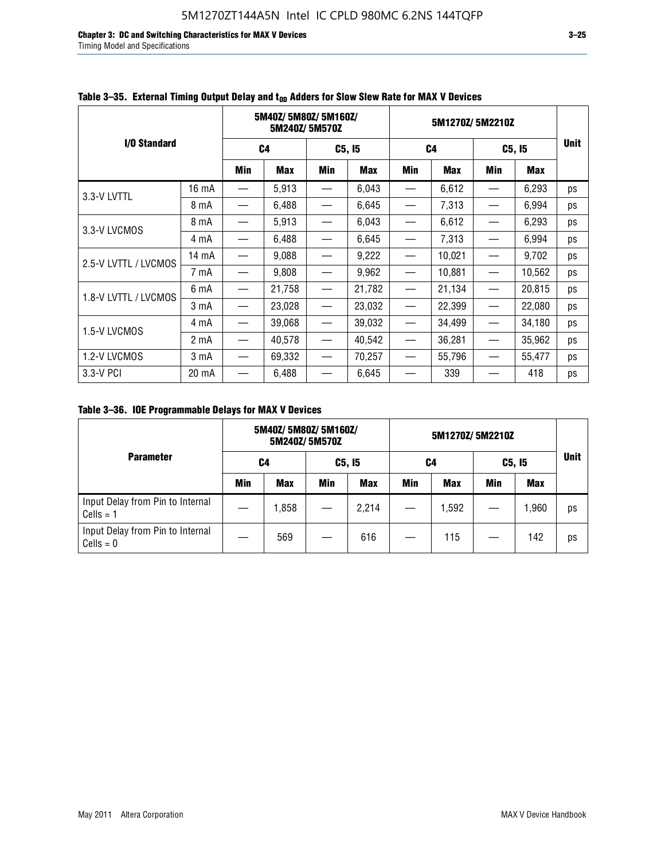**Chapter 3: DC and Switching Characteristics for MAX V Devices 3–25** Timing Model and Specifications

|                      |       |                          | 5M40Z/5M80Z/5M160Z/<br>5M240Z/5M570Z |                               |            | 5M1270Z/5M2210Z   |            |                                  |        |             |
|----------------------|-------|--------------------------|--------------------------------------|-------------------------------|------------|-------------------|------------|----------------------------------|--------|-------------|
| I/O Standard         |       |                          | C4                                   | C5, I5                        |            | C <sub>4</sub>    |            | C5, I5                           |        | <b>Unit</b> |
|                      |       | Min                      | <b>Max</b>                           | Min                           | <b>Max</b> | Min               | <b>Max</b> | Min                              | Max    |             |
| 3.3-V LVTTL          | 16 mA |                          | 5,913                                |                               | 6,043      |                   | 6,612      |                                  | 6,293  | ps          |
|                      | 8 mA  |                          | 6,488                                |                               | 6,645      |                   | 7,313      |                                  | 6,994  | ps          |
| 3.3-V LVCMOS         | 8 mA  |                          | 5,913                                |                               | 6,043      |                   | 6,612      |                                  | 6,293  | ps          |
|                      | 4 mA  | —                        | 6,488                                |                               | 6,645      |                   | 7,313      |                                  | 6,994  | ps          |
| 2.5-V LVTTL / LVCMOS | 14 mA |                          | 9,088                                |                               | 9,222      |                   | 10,021     |                                  | 9,702  | ps          |
|                      | 7 mA  |                          | 9,808                                |                               | 9,962      |                   | 10,881     |                                  | 10,562 | ps          |
| 1.8-V LVTTL / LVCMOS | 6 mA  | $\overline{\phantom{0}}$ | 21,758                               |                               | 21,782     |                   | 21,134     |                                  | 20,815 | ps          |
|                      | 3 mA  |                          | 23,028                               | $\overbrace{\phantom{13333}}$ | 23,032     |                   | 22,399     |                                  | 22,080 | ps          |
| 1.5-V LVCMOS         | 4 mA  | $\overline{\phantom{0}}$ | 39,068                               | $\overline{\phantom{m}}$      | 39,032     |                   | 34,499     |                                  | 34,180 | ps          |
|                      | 2 mA  |                          | 40,578                               |                               | 40,542     |                   | 36,281     |                                  | 35,962 | ps          |
| 1.2-V LVCMOS         | 3 mA  | $\overline{\phantom{0}}$ | 69,332                               | $\overline{\phantom{m}}$      | 70,257     | $\hspace{0.05cm}$ | 55,796     | $\overbrace{\phantom{12322111}}$ | 55,477 | ps          |
| 3.3-V PCI            | 20 mA |                          | 6,488                                |                               | 6,645      |                   | 339        |                                  | 418    | ps          |

### Table 3–35. External Timing Output Delay and t<sub>on</sub> Adders for Slow Slew Rate for MAX V Devices

**Table 3–36. IOE Programmable Delays for MAX V Devices**

|                                                 | 5M40Z/5M80Z/5M160Z/<br>5M240Z/5M570Z |            |        |            | 5M1270Z/5M2210Z |            |        |            |             |
|-------------------------------------------------|--------------------------------------|------------|--------|------------|-----------------|------------|--------|------------|-------------|
| <b>Parameter</b>                                | C4                                   |            | C5, I5 |            | C4              |            | C5, I5 |            | <b>Unit</b> |
|                                                 | Min                                  | <b>Max</b> | Min    | <b>Max</b> | Min             | <b>Max</b> | Min    | <b>Max</b> |             |
| Input Delay from Pin to Internal<br>$Cells = 1$ |                                      | 1,858      |        | 2,214      |                 | 1,592      |        | 1,960      | ps          |
| Input Delay from Pin to Internal<br>$Cells = 0$ |                                      | 569        |        | 616        |                 | 115        |        | 142        | ps          |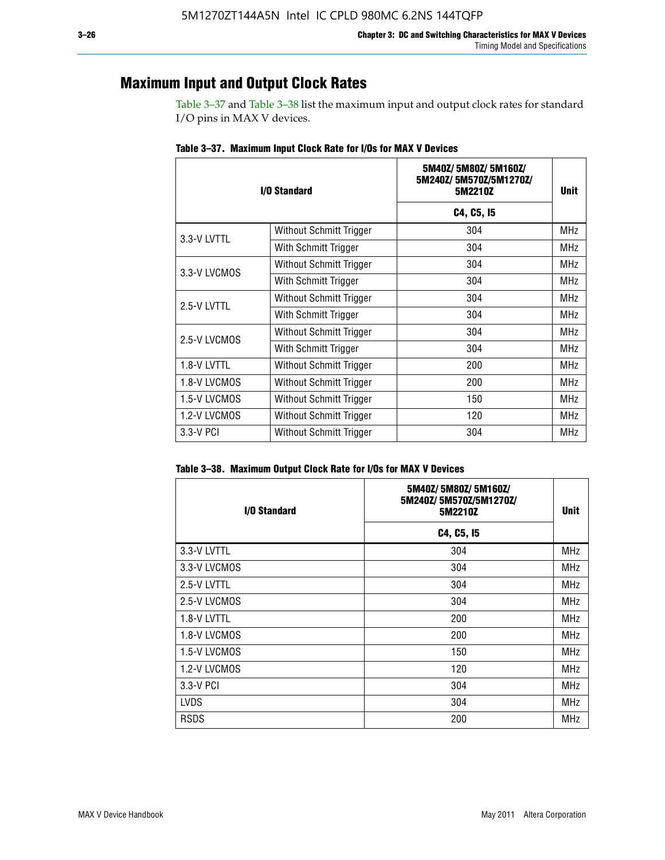### **Maximum Input and Output Clock Rates**

Table 3–37 and Table 3–38 list the maximum input and output clock rates for standard I/O pins in MAX V devices.

| I/O Standard |                         | 5M40Z/5M80Z/5M160Z/<br>5M240Z/5M570Z/5M1270Z/<br>5M2210Z | <b>Unit</b> |
|--------------|-------------------------|----------------------------------------------------------|-------------|
|              |                         | C4, C5, I5                                               |             |
| 3.3-V LVTTL  | Without Schmitt Trigger | 304                                                      | <b>MHz</b>  |
|              | With Schmitt Trigger    | 304                                                      | <b>MHz</b>  |
| 3.3-V LVCMOS | Without Schmitt Trigger | 304                                                      | <b>MHz</b>  |
|              | With Schmitt Trigger    | 304                                                      | MHz         |
| 2.5-V LVTTL  | Without Schmitt Trigger | 304                                                      | <b>MHz</b>  |
|              | With Schmitt Trigger    | 304                                                      | <b>MHz</b>  |
| 2.5-V LVCMOS | Without Schmitt Trigger | 304                                                      | <b>MHz</b>  |
|              | With Schmitt Trigger    | 304                                                      | <b>MHz</b>  |
| 1.8-V LVTTL  | Without Schmitt Trigger | 200                                                      | <b>MHz</b>  |
| 1.8-V LVCMOS | Without Schmitt Trigger | 200                                                      | <b>MHz</b>  |
| 1.5-V LVCMOS | Without Schmitt Trigger | 150                                                      | <b>MHz</b>  |
| 1.2-V LVCMOS | Without Schmitt Trigger | 120                                                      | <b>MHz</b>  |
| 3.3-V PCI    | Without Schmitt Trigger | 304                                                      | <b>MHz</b>  |

**Table 3–37. Maximum Input Clock Rate for I/Os for MAX V Devices**

| Table 3–38. Maximum Output Clock Rate for I/Os for MAX V Devices |  |  |  |  |  |  |  |  |  |  |
|------------------------------------------------------------------|--|--|--|--|--|--|--|--|--|--|
|------------------------------------------------------------------|--|--|--|--|--|--|--|--|--|--|

| I/O Standard | 5M40Z/5M80Z/5M160Z/<br>5M240Z/5M570Z/5M1270Z/<br>5M2210Z | <b>Unit</b> |
|--------------|----------------------------------------------------------|-------------|
|              | C4, C5, I5                                               |             |
| 3.3-V LVTTL  | 304                                                      | <b>MHz</b>  |
| 3.3-V LVCMOS | 304                                                      | <b>MHz</b>  |
| 2.5-V LVTTL  | 304                                                      | MHz         |
| 2.5-V LVCMOS | 304                                                      | <b>MHz</b>  |
| 1.8-V LVTTL  | 200                                                      | MHz         |
| 1.8-V LVCMOS | 200                                                      | MHz         |
| 1.5-V LVCMOS | 150                                                      | <b>MHz</b>  |
| 1.2-V LVCMOS | 120                                                      | <b>MHz</b>  |
| 3.3-V PCI    | 304                                                      | <b>MHz</b>  |
| <b>LVDS</b>  | 304                                                      | MHz         |
| <b>RSDS</b>  | 200                                                      | <b>MHz</b>  |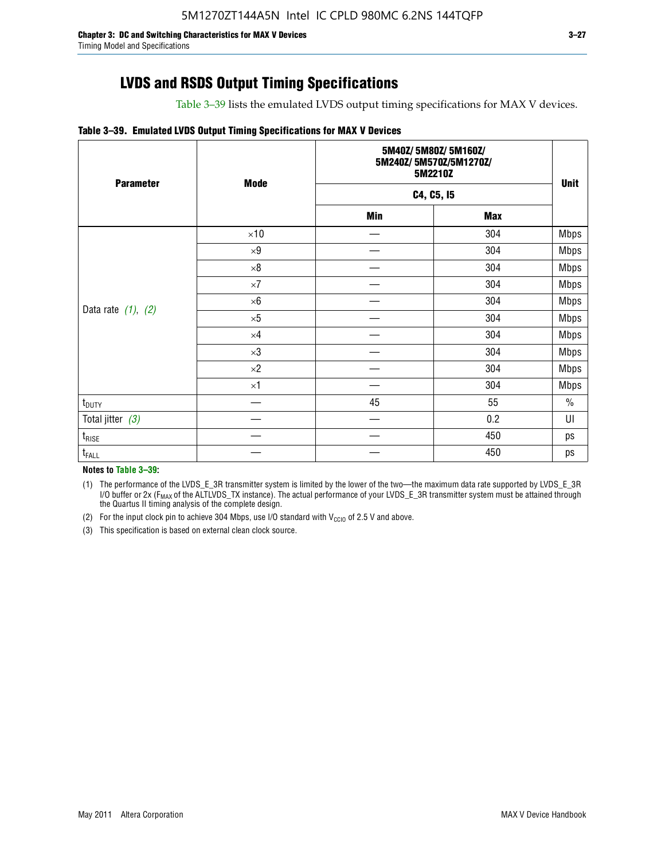Table 3–39 lists the emulated LVDS output timing specifications for MAX V devices.

#### **Table 3–39. Emulated LVDS Output Timing Specifications for MAX V Devices**

| <b>Parameter</b>        | <b>Mode</b> |            | 5M40Z/5M80Z/5M160Z/<br>5M240Z/5M570Z/5M1270Z/<br>5M2210Z |             |  |  |  |
|-------------------------|-------------|------------|----------------------------------------------------------|-------------|--|--|--|
|                         |             |            | C4, C5, I5                                               |             |  |  |  |
|                         |             | <b>Min</b> | <b>Max</b>                                               |             |  |  |  |
|                         | $\times 10$ |            | 304                                                      | Mbps        |  |  |  |
|                         | $\times 9$  |            | 304                                                      | <b>Mbps</b> |  |  |  |
|                         | $\times 8$  |            | 304                                                      | <b>Mbps</b> |  |  |  |
|                         | $\times 7$  |            | 304                                                      | <b>Mbps</b> |  |  |  |
|                         | $\times 6$  |            | 304                                                      | <b>Mbps</b> |  |  |  |
| Data rate $(1)$ , $(2)$ | $\times 5$  |            | 304                                                      | <b>Mbps</b> |  |  |  |
|                         | $\times 4$  |            | 304                                                      | <b>Mbps</b> |  |  |  |
|                         | $\times 3$  |            | 304                                                      | <b>Mbps</b> |  |  |  |
|                         | $\times 2$  |            | 304                                                      | <b>Mbps</b> |  |  |  |
|                         | $\times$ 1  |            | 304                                                      | <b>Mbps</b> |  |  |  |
| $t_{\text{DUTY}}$       |             | 45         | 55                                                       | $\%$        |  |  |  |
| Total jitter $(3)$      |             |            | 0.2                                                      | UI          |  |  |  |
| $t_{\text{RISE}}$       |             |            | 450                                                      | ps          |  |  |  |
| $t_{FALL}$              |             |            | 450                                                      | ps          |  |  |  |

**Notes to Table 3–39:**

(1) The performance of the LVDS\_E\_3R transmitter system is limited by the lower of the two—the maximum data rate supported by LVDS\_E\_3R I/O buffer or 2x (F<sub>MAX</sub> of the ALTLVDS\_TX instance). The actual performance of your LVDS\_E\_3R transmitter system must be attained through the Quartus II timing analysis of the complete design.

(2) For the input clock pin to achieve 304 Mbps, use I/O standard with  $V_{\text{CCIO}}$  of 2.5 V and above.

(3) This specification is based on external clean clock source.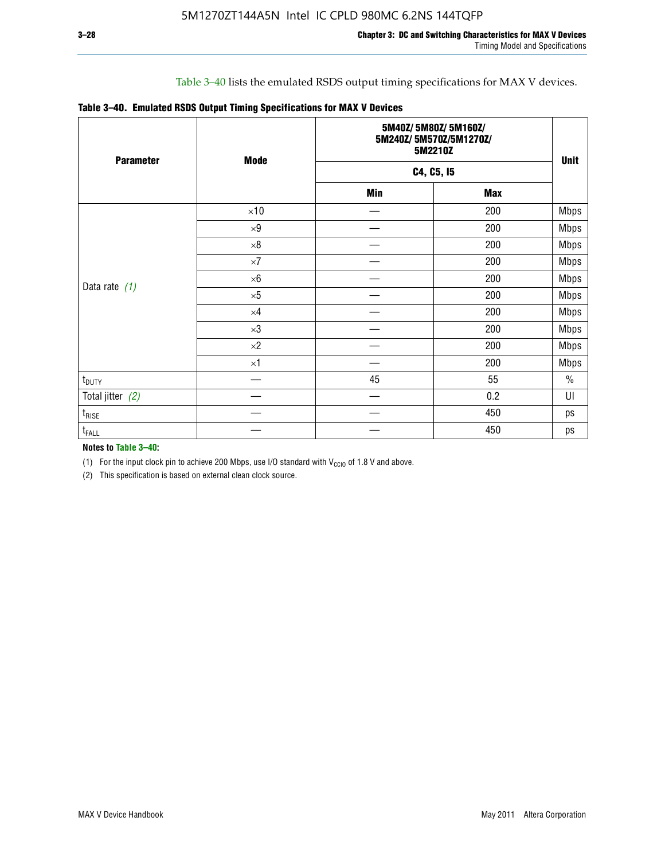#### Table 3–40 lists the emulated RSDS output timing specifications for MAX V devices.

|  | Table 3-40. Emulated RSDS Output Timing Specifications for MAX V Devices |  |  |  |
|--|--------------------------------------------------------------------------|--|--|--|
|--|--------------------------------------------------------------------------|--|--|--|

| <b>Parameter</b>  | <b>Mode</b> | 5M40Z/5M80Z/5M160Z/<br>5M240Z/5M570Z/5M1270Z/<br>5M2210Z | <b>Unit</b> |               |  |  |  |
|-------------------|-------------|----------------------------------------------------------|-------------|---------------|--|--|--|
|                   |             |                                                          | C4, C5, I5  |               |  |  |  |
|                   |             | <b>Min</b>                                               | <b>Max</b>  |               |  |  |  |
|                   | $\times 10$ |                                                          | 200         | <b>Mbps</b>   |  |  |  |
|                   | $\times 9$  |                                                          | 200         | <b>Mbps</b>   |  |  |  |
|                   | $\times 8$  |                                                          | 200         | <b>Mbps</b>   |  |  |  |
|                   | $\times 7$  |                                                          | 200         | <b>Mbps</b>   |  |  |  |
|                   | $\times 6$  |                                                          | 200         | <b>Mbps</b>   |  |  |  |
| Data rate $(1)$   | $\times 5$  |                                                          | 200         | <b>Mbps</b>   |  |  |  |
|                   | $\times 4$  |                                                          | 200         | <b>Mbps</b>   |  |  |  |
|                   | $\times 3$  |                                                          | 200         | Mbps          |  |  |  |
|                   | $\times 2$  |                                                          | 200         | <b>Mbps</b>   |  |  |  |
|                   | $\times$ 1  |                                                          | 200         | <b>Mbps</b>   |  |  |  |
| $t_{\text{DUTY}}$ |             | 45                                                       | 55          | $\frac{0}{0}$ |  |  |  |
| Total jitter (2)  |             |                                                          | 0.2         | UI            |  |  |  |
| $t_{\rm RISE}$    |             |                                                          | 450         | ps            |  |  |  |
| t <sub>FALL</sub> |             |                                                          | 450         | ps            |  |  |  |

**Notes to Table 3–40:**

(1) For the input clock pin to achieve 200 Mbps, use I/O standard with  $V_{\text{CCIO}}$  of 1.8 V and above.

(2) This specification is based on external clean clock source.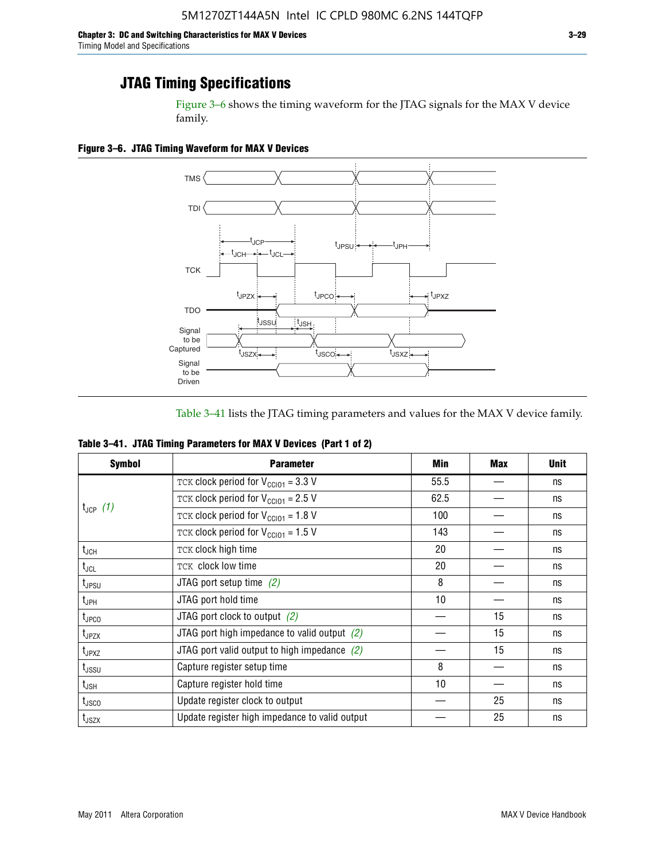Figure 3–6 shows the timing waveform for the JTAG signals for the MAX V device family.

**Figure 3–6. JTAG Timing Waveform for MAX V Devices**



Table 3–41 lists the JTAG timing parameters and values for the MAX V device family.

| Table 3-41. JTAG Timing Parameters for MAX V Devices (Part 1 of 2) |  |  |
|--------------------------------------------------------------------|--|--|
|                                                                    |  |  |

| <b>Symbol</b>      | <b>Parameter</b>                                            | Min  | <b>Max</b> | <b>Unit</b> |
|--------------------|-------------------------------------------------------------|------|------------|-------------|
|                    | TCK clock period for $V_{\text{CC}}$ <sub>101</sub> = 3.3 V | 55.5 |            | ns          |
|                    | TCK clock period for $V_{CC101} = 2.5 V$                    | 62.5 |            | ns          |
| $t_{JCP}$ (1)      | TCK clock period for $V_{\text{CC101}} = 1.8 \text{ V}$     | 100  |            | ns          |
|                    | TCK clock period for $V_{\text{CC101}} = 1.5$ V             | 143  |            | ns          |
| $t_{JCH}$          | TCK clock high time                                         | 20   |            | ns          |
| $t_{\sf JCL}$      | TCK clock low time                                          | 20   |            | ns          |
| $t_{JPSU}$         | JTAG port setup time $(2)$                                  | 8    |            | ns          |
| t <sub>JPH</sub>   | JTAG port hold time                                         | 10   |            | ns          |
| $t_{\text{JPCO}}$  | JTAG port clock to output $(2)$                             |      | 15         | ns          |
| t <sub>JPZX</sub>  | JTAG port high impedance to valid output $(2)$              |      | 15         | ns          |
| $t_{JPXZ}$         | JTAG port valid output to high impedance $(2)$              |      | 15         | ns          |
| t <sub>JSSU</sub>  | Capture register setup time                                 | 8    |            | ns          |
| $t_{\mathsf{JSH}}$ | Capture register hold time                                  | 10   |            | ns          |
| t <sub>JSCO</sub>  | Update register clock to output                             |      | 25         | ns          |
| $t_{\text{JSZX}}$  | Update register high impedance to valid output              |      | 25         | ns          |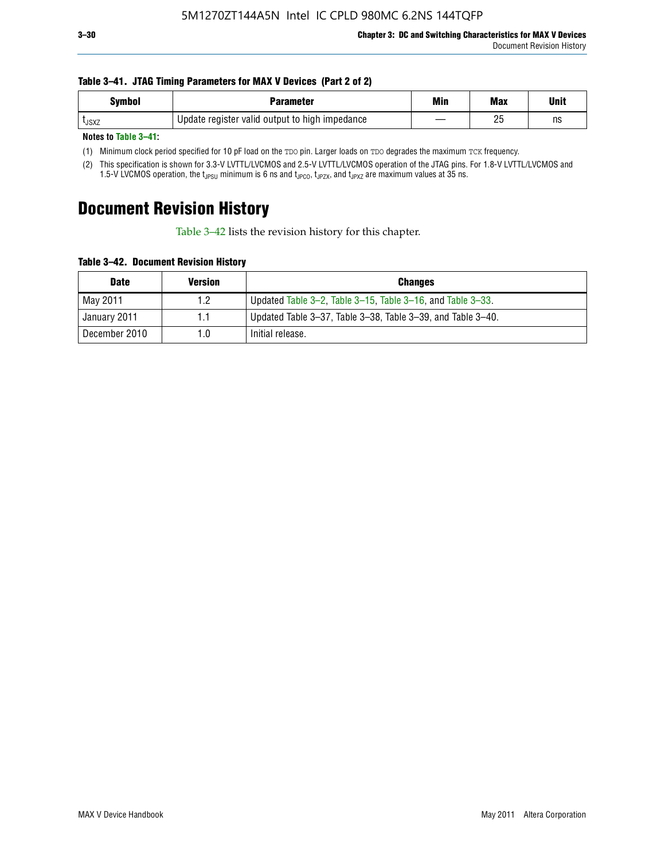#### **Table 3–41. JTAG Timing Parameters for MAX V Devices (Part 2 of 2)**

| Symbol        | Parameter                                      | Min | <b>Max</b> | Unit |
|---------------|------------------------------------------------|-----|------------|------|
| <b>L</b> JSXZ | Update register valid output to high impedance |     | りに<br>៹    | ns   |

**Notes to Table 3–41:**

(1) Minimum clock period specified for 10 pF load on the TDO pin. Larger loads on TDO degrades the maximum TCK frequency.

(2) This specification is shown for 3.3-V LVTTL/LVCMOS and 2.5-V LVTTL/LVCMOS operation of the JTAG pins. For 1.8-V LVTTL/LVCMOS and 1.5-V LVCMOS operation, the t<sub>JPSU</sub> minimum is 6 ns and t<sub>JPCO</sub>, t<sub>JPZX</sub>, and t<sub>JPXZ</sub> are maximum values at 35 ns.

### **Document Revision History**

Table 3–42 lists the revision history for this chapter.

**Table 3–42. Document Revision History**

| <b>Date</b>   | <b>Version</b> | <b>Changes</b>                                              |
|---------------|----------------|-------------------------------------------------------------|
| May 2011      | 1.2            | Updated Table 3-2, Table 3-15, Table 3-16, and Table 3-33.  |
| January 2011  |                | Updated Table 3–37, Table 3–38, Table 3–39, and Table 3–40. |
| December 2010 | 1.0            | Initial release.                                            |